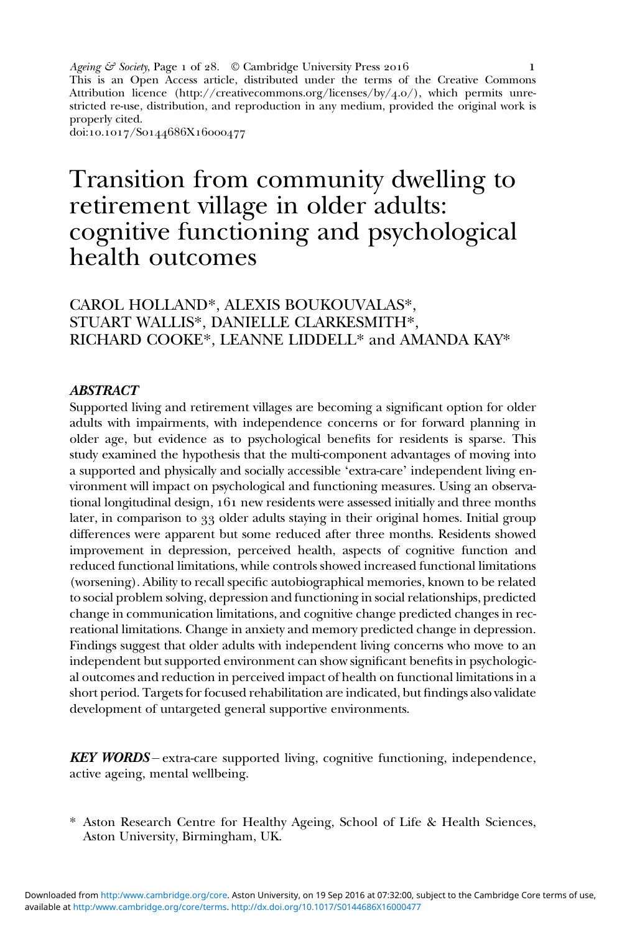Ageing  $\mathcal{E}$  Society, Page 1 of 28.  $\circledcirc$  Cambridge University Press 2016 This is an Open Access article, distributed under the terms of the Creative Commons Attribution licence (http://creativecommons.org/licenses/by/4.0/), which permits unrestricted re-use, distribution, and reproduction in any medium, provided the original work is properly cited. doi:10.1017/S0144686X16000477  $\mathbf{I}$ 

Transition from community dwelling to retirement village in older adults: cognitive functioning and psychological health outcomes

# CAROL HOLLAND\*, ALEXIS BOUKOUVALAS\*, STUART WALLIS\*, DANIELLE CLARKESMITH\*, RICHARD COOKE\*, LEANNE LIDDELL\* and AMANDA KAY\*

#### **ABSTRACT**

Supported living and retirement villages are becoming a significant option for older adults with impairments, with independence concerns or for forward planning in older age, but evidence as to psychological benefits for residents is sparse. This study examined the hypothesis that the multi-component advantages of moving into a supported and physically and socially accessible 'extra-care' independent living environment will impact on psychological and functioning measures. Using an observational longitudinal design,  $161$  new residents were assessed initially and three months later, in comparison to 33 older adults staying in their original homes. Initial group differences were apparent but some reduced after three months. Residents showed improvement in depression, perceived health, aspects of cognitive function and reduced functional limitations, while controls showed increased functional limitations (worsening). Ability to recall specific autobiographical memories, known to be related to social problem solving, depression and functioning in social relationships, predicted change in communication limitations, and cognitive change predicted changes in recreational limitations. Change in anxiety and memory predicted change in depression. Findings suggest that older adults with independent living concerns who move to an independent but supported environment can show significant benefits in psychological outcomes and reduction in perceived impact of health on functional limitations in a short period. Targets for focused rehabilitation are indicated, but findings also validate development of untargeted general supportive environments.

**KEY WORDS** – extra-care supported living, cognitive functioning, independence, active ageing, mental wellbeing.

\* Aston Research Centre for Healthy Ageing, School of Life & Health Sciences, Aston University, Birmingham, UK.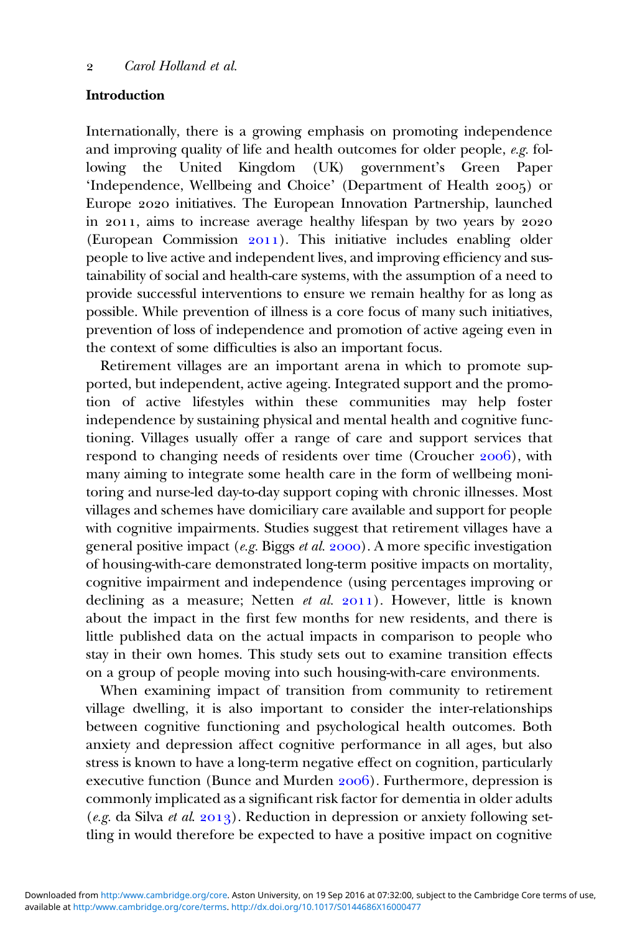### Introduction

Internationally, there is a growing emphasis on promoting independence and improving quality of life and health outcomes for older people, e.g. following the United Kingdom (UK) government's Green Paper 'Independence, Wellbeing and Choice' (Department of Health 2005) or Europe 2020 initiatives. The European Innovation Partnership, launched in 2011, aims to increase average healthy lifespan by two years by 2020 (European Commission  $2011$ ). This initiative includes enabling older people to live active and independent lives, and improving efficiency and sustainability of social and health-care systems, with the assumption of a need to provide successful interventions to ensure we remain healthy for as long as possible. While prevention of illness is a core focus of many such initiatives, prevention of loss of independence and promotion of active ageing even in the context of some difficulties is also an important focus.

Retirement villages are an important arena in which to promote supported, but independent, active ageing. Integrated support and the promotion of active lifestyles within these communities may help foster independence by sustaining physical and mental health and cognitive functioning. Villages usually offer a range of care and support services that respond to changing needs of residents over time (Croucher 2006), with many aiming to integrate some health care in the form of wellbeing monitoring and nurse-led day-to-day support coping with chronic illnesses. Most villages and schemes have domiciliary care available and support for people with cognitive impairments. Studies suggest that retirement villages have a general positive impact (e.g. Biggs et al.  $2000$ ). A more specific investigation of housing-with-care demonstrated long-term positive impacts on mortality, cognitive impairment and independence (using percentages improving or declining as a measure; Netten et al.  $2011$ ). However, little is known about the impact in the first few months for new residents, and there is little published data on the actual impacts in comparison to people who stay in their own homes. This study sets out to examine transition effects on a group of people moving into such housing-with-care environments.

When examining impact of transition from community to retirement village dwelling, it is also important to consider the inter-relationships between cognitive functioning and psychological health outcomes. Both anxiety and depression affect cognitive performance in all ages, but also stress is known to have a long-term negative effect on cognition, particularly executive function (Bunce and Murden 2006). Furthermore, depression is commonly implicated as a significant risk factor for dementia in older adults (e.g. da Silva et al. 2013). Reduction in depression or anxiety following settling in would therefore be expected to have a positive impact on cognitive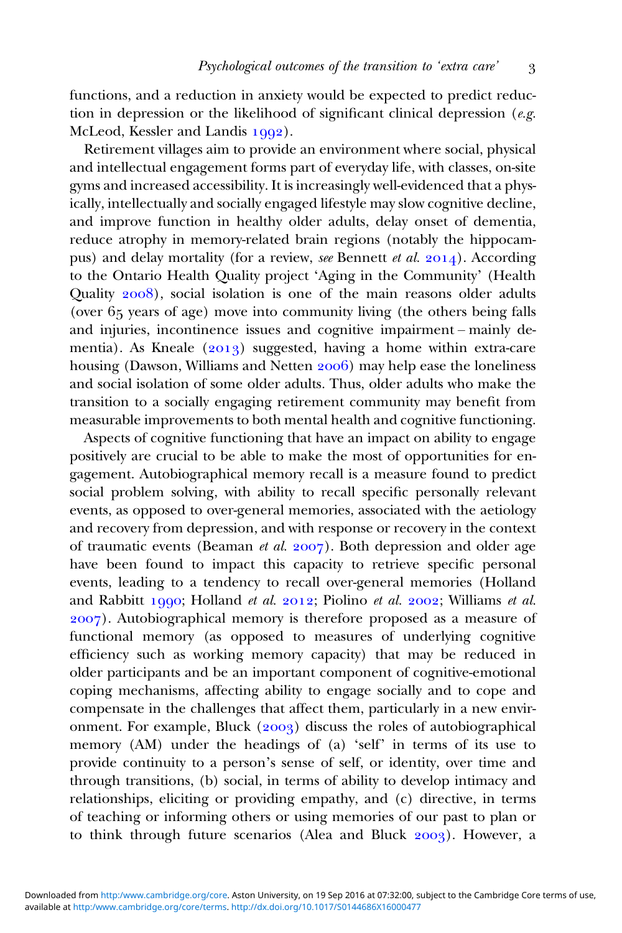functions, and a reduction in anxiety would be expected to predict reduction in depression or the likelihood of significant clinical depression ( $e.g.$ McLeod, Kessler and Landis 1992).

Retirement villages aim to provide an environment where social, physical and intellectual engagement forms part of everyday life, with classes, on-site gyms and increased accessibility. It is increasingly well-evidenced that a physically, intellectually and socially engaged lifestyle may slow cognitive decline, and improve function in healthy older adults, delay onset of dementia, reduce atrophy in memory-related brain regions (notably the hippocampus) and delay mortality (for a review, see Bennett et al.  $2014$ ). According to the Ontario Health Quality project 'Aging in the Community' (Health Quality  $2008$ , social isolation is one of the main reasons older adults (over  $65$  years of age) move into community living (the others being falls and injuries, incontinence issues and cognitive impairment – mainly dementia). As Kneale  $(2013)$  suggested, having a home within extra-care housing (Dawson, Williams and Netten 2006) may help ease the loneliness and social isolation of some older adults. Thus, older adults who make the transition to a socially engaging retirement community may benefit from measurable improvements to both mental health and cognitive functioning.

Aspects of cognitive functioning that have an impact on ability to engage positively are crucial to be able to make the most of opportunities for engagement. Autobiographical memory recall is a measure found to predict social problem solving, with ability to recall specific personally relevant events, as opposed to over-general memories, associated with the aetiology and recovery from depression, and with response or recovery in the context of traumatic events (Beaman et al.  $2007$ ). Both depression and older age have been found to impact this capacity to retrieve specific personal events, leading to a tendency to recall over-general memories (Holland and Rabbitt 1990; Holland et al. 2012; Piolino et al. 2002; Williams et al. ). Autobiographical memory is therefore proposed as a measure of functional memory (as opposed to measures of underlying cognitive efficiency such as working memory capacity) that may be reduced in older participants and be an important component of cognitive-emotional coping mechanisms, affecting ability to engage socially and to cope and compensate in the challenges that affect them, particularly in a new environment. For example, Bluck (2003) discuss the roles of autobiographical memory (AM) under the headings of (a) 'self' in terms of its use to provide continuity to a person's sense of self, or identity, over time and through transitions, (b) social, in terms of ability to develop intimacy and relationships, eliciting or providing empathy, and (c) directive, in terms of teaching or informing others or using memories of our past to plan or to think through future scenarios (Alea and Bluck  $2003$ ). However, a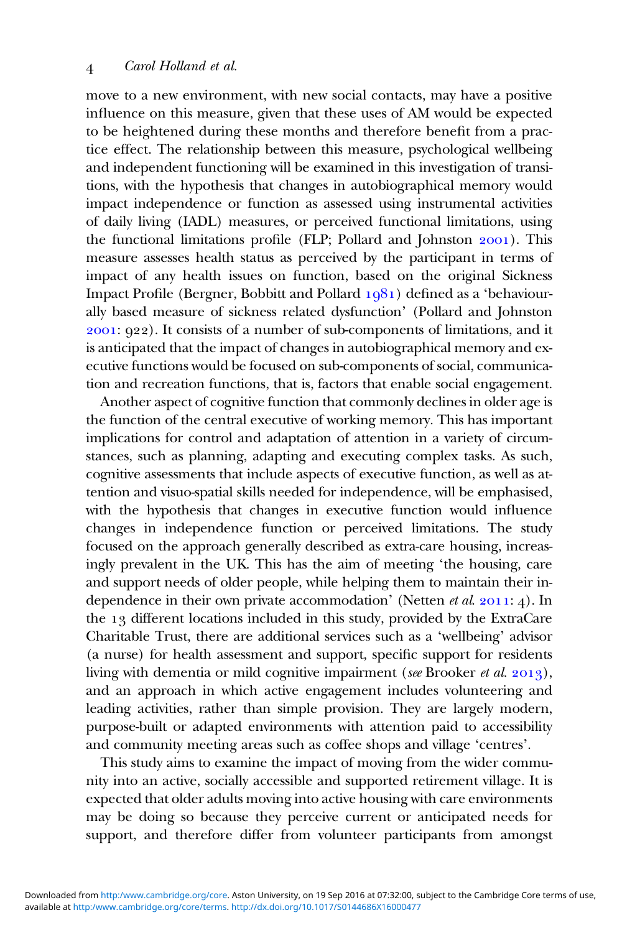move to a new environment, with new social contacts, may have a positive influence on this measure, given that these uses of AM would be expected to be heightened during these months and therefore benefit from a practice effect. The relationship between this measure, psychological wellbeing and independent functioning will be examined in this investigation of transitions, with the hypothesis that changes in autobiographical memory would impact independence or function as assessed using instrumental activities of daily living (IADL) measures, or perceived functional limitations, using the functional limitations profile (FLP; Pollard and Johnston 2001). This measure assesses health status as perceived by the participant in terms of impact of any health issues on function, based on the original Sickness Impact Profile (Bergner, Bobbitt and Pollard  $1081$ ) defined as a 'behaviourally based measure of sickness related dysfunction' (Pollard and Johnston : ). It consists of a number of sub-components of limitations, and it is anticipated that the impact of changes in autobiographical memory and executive functions would be focused on sub-components of social, communication and recreation functions, that is, factors that enable social engagement.

Another aspect of cognitive function that commonly declines in older age is the function of the central executive of working memory. This has important implications for control and adaptation of attention in a variety of circumstances, such as planning, adapting and executing complex tasks. As such, cognitive assessments that include aspects of executive function, as well as attention and visuo-spatial skills needed for independence, will be emphasised, with the hypothesis that changes in executive function would influence changes in independence function or perceived limitations. The study focused on the approach generally described as extra-care housing, increasingly prevalent in the UK. This has the aim of meeting 'the housing, care and support needs of older people, while helping them to maintain their independence in their own private accommodation' (Netten  $et al. 2011: 4$ ). In the  $13$  different locations included in this study, provided by the ExtraCare Charitable Trust, there are additional services such as a 'wellbeing' advisor (a nurse) for health assessment and support, specific support for residents living with dementia or mild cognitive impairment (see Brooker et al.  $2013$ ), and an approach in which active engagement includes volunteering and leading activities, rather than simple provision. They are largely modern, purpose-built or adapted environments with attention paid to accessibility and community meeting areas such as coffee shops and village 'centres'.

This study aims to examine the impact of moving from the wider community into an active, socially accessible and supported retirement village. It is expected that older adults moving into active housing with care environments may be doing so because they perceive current or anticipated needs for support, and therefore differ from volunteer participants from amongst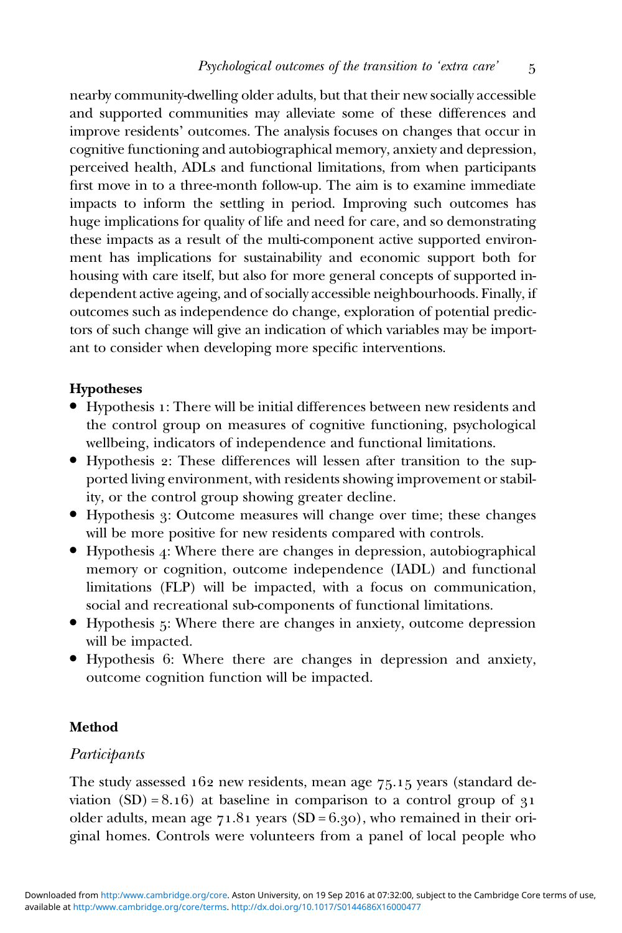nearby community-dwelling older adults, but that their new socially accessible and supported communities may alleviate some of these differences and improve residents' outcomes. The analysis focuses on changes that occur in cognitive functioning and autobiographical memory, anxiety and depression, perceived health, ADLs and functional limitations, from when participants first move in to a three-month follow-up. The aim is to examine immediate impacts to inform the settling in period. Improving such outcomes has huge implications for quality of life and need for care, and so demonstrating these impacts as a result of the multi-component active supported environment has implications for sustainability and economic support both for housing with care itself, but also for more general concepts of supported independent active ageing, and of socially accessible neighbourhoods. Finally, if outcomes such as independence do change, exploration of potential predictors of such change will give an indication of which variables may be important to consider when developing more specific interventions.

### Hypotheses

- . Hypothesis : There will be initial differences between new residents and the control group on measures of cognitive functioning, psychological wellbeing, indicators of independence and functional limitations.
- . Hypothesis : These differences will lessen after transition to the supported living environment, with residents showing improvement or stability, or the control group showing greater decline.
- . Hypothesis : Outcome measures will change over time; these changes will be more positive for new residents compared with controls.
- $\bullet$  Hypothesis 4: Where there are changes in depression, autobiographical memory or cognition, outcome independence (IADL) and functional limitations (FLP) will be impacted, with a focus on communication, social and recreational sub-components of functional limitations.
- . Hypothesis : Where there are changes in anxiety, outcome depression will be impacted.
- . Hypothesis : Where there are changes in depression and anxiety, outcome cognition function will be impacted.

# Method

# Participants

The study assessed  $162$  new residents, mean age  $75.15$  years (standard deviation  $(SD) = 8.16$ ) at baseline in comparison to a control group of  $31$ older adults, mean age  $71.81$  years (SD = 6.30), who remained in their original homes. Controls were volunteers from a panel of local people who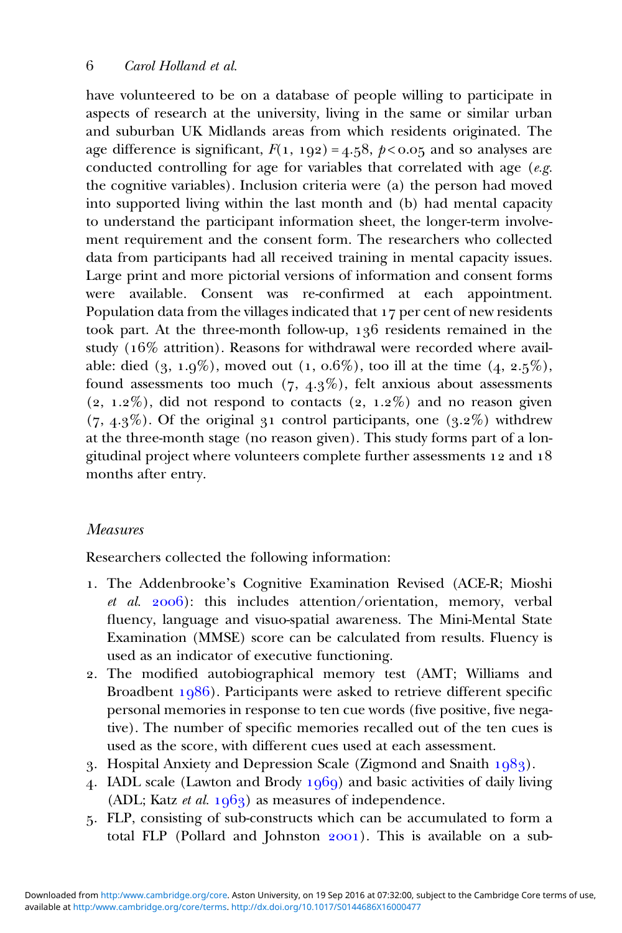have volunteered to be on a database of people willing to participate in aspects of research at the university, living in the same or similar urban and suburban UK Midlands areas from which residents originated. The age difference is significant,  $F(1, 192) = 4.58$ ,  $p < 0.05$  and so analyses are conducted controlling for age for variables that correlated with age  $(e.g.$ the cognitive variables). Inclusion criteria were (a) the person had moved into supported living within the last month and (b) had mental capacity to understand the participant information sheet, the longer-term involvement requirement and the consent form. The researchers who collected data from participants had all received training in mental capacity issues. Large print and more pictorial versions of information and consent forms were available. Consent was re-confirmed at each appointment. Population data from the villages indicated that 17 per cent of new residents took part. At the three-month follow-up, 136 residents remained in the study  $(16\%$  attrition). Reasons for withdrawal were recorded where available: died  $(3, 1.9\%)$ , moved out  $(1, 0.6\%)$ , too ill at the time  $(4, 2.5\%)$ , found assessments too much  $(7, 4.3\%)$ , felt anxious about assessments  $(2, 1.2\%)$ , did not respond to contacts  $(2, 1.2\%)$  and no reason given  $(7, 4.3\%)$ . Of the original 31 control participants, one  $(3.2\%)$  withdrew at the three-month stage (no reason given). This study forms part of a longitudinal project where volunteers complete further assessments  $12$  and  $18$ months after entry.

# Measures

Researchers collected the following information:

- . The Addenbrooke's Cognitive Examination Revised (ACE-R; Mioshi et al.  $2006$ ): this includes attention/orientation, memory, verbal fluency, language and visuo-spatial awareness. The Mini-Mental State Examination (MMSE) score can be calculated from results. Fluency is used as an indicator of executive functioning.
- . The modified autobiographical memory test (AMT; Williams and Broadbent  $1986$ ). Participants were asked to retrieve different specific personal memories in response to ten cue words (five positive, five negative). The number of specific memories recalled out of the ten cues is used as the score, with different cues used at each assessment.
- 3. Hospital Anxiety and Depression Scale (Zigmond and Snaith  $1083$ ).
- 4. IADL scale (Lawton and Brody  $1969$ ) and basic activities of daily living (ADL; Katz *et al.*  $1963$ ) as measures of independence.
- . FLP, consisting of sub-constructs which can be accumulated to form a total FLP (Pollard and Johnston  $2001$ ). This is available on a sub-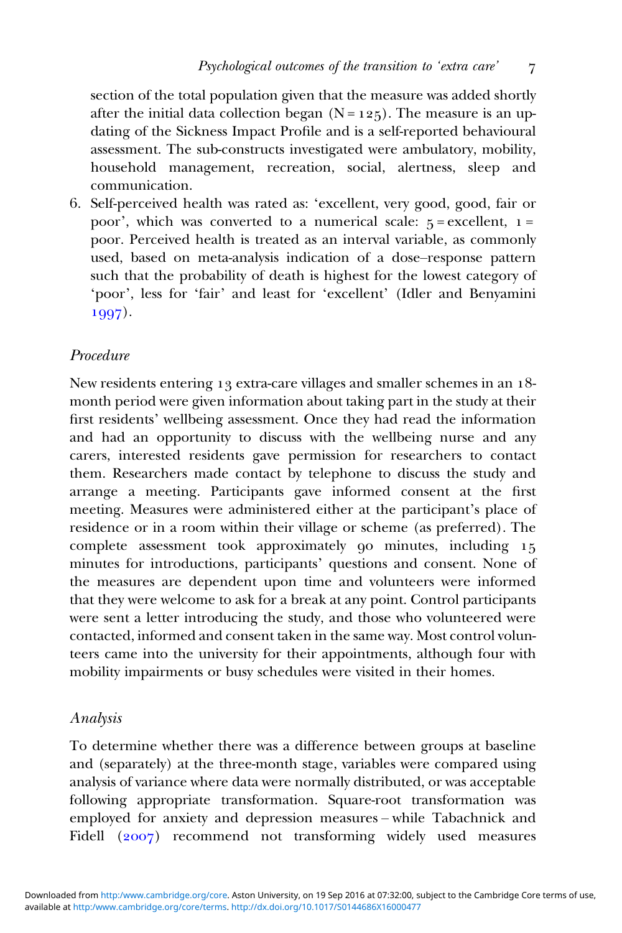section of the total population given that the measure was added shortly after the initial data collection began  $(N = 125)$ . The measure is an updating of the Sickness Impact Profile and is a self-reported behavioural assessment. The sub-constructs investigated were ambulatory, mobility, household management, recreation, social, alertness, sleep and communication.

. Self-perceived health was rated as: 'excellent, very good, good, fair or poor', which was converted to a numerical scale:  $5 =$  excellent,  $1 =$ poor. Perceived health is treated as an interval variable, as commonly used, based on meta-analysis indication of a dose–response pattern such that the probability of death is highest for the lowest category of 'poor', less for 'fair' and least for 'excellent' (Idler and Benyamini 1997).

# Procedure

New residents entering 13 extra-care villages and smaller schemes in an 18month period were given information about taking part in the study at their first residents' wellbeing assessment. Once they had read the information and had an opportunity to discuss with the wellbeing nurse and any carers, interested residents gave permission for researchers to contact them. Researchers made contact by telephone to discuss the study and arrange a meeting. Participants gave informed consent at the first meeting. Measures were administered either at the participant's place of residence or in a room within their village or scheme (as preferred). The complete assessment took approximately  $\varphi$  minutes, including  $15$ minutes for introductions, participants' questions and consent. None of the measures are dependent upon time and volunteers were informed that they were welcome to ask for a break at any point. Control participants were sent a letter introducing the study, and those who volunteered were contacted, informed and consent taken in the same way. Most control volunteers came into the university for their appointments, although four with mobility impairments or busy schedules were visited in their homes.

### Analysis

To determine whether there was a difference between groups at baseline and (separately) at the three-month stage, variables were compared using analysis of variance where data were normally distributed, or was acceptable following appropriate transformation. Square-root transformation was employed for anxiety and depression measures – while Tabachnick and Fidell (2007) recommend not transforming widely used measures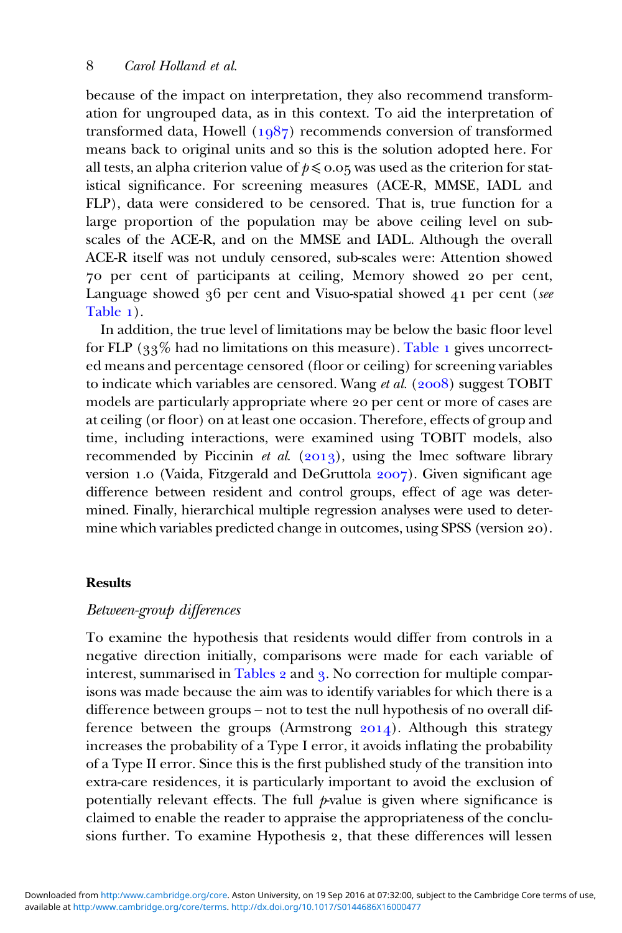because of the impact on interpretation, they also recommend transformation for ungrouped data, as in this context. To aid the interpretation of transformed data, Howell  $(1087)$  recommends conversion of transformed means back to original units and so this is the solution adopted here. For all tests, an alpha criterion value of  $p \le 0.05$  was used as the criterion for statistical significance. For screening measures (ACE-R, MMSE, IADL and FLP), data were considered to be censored. That is, true function for a large proportion of the population may be above ceiling level on subscales of the ACE-R, and on the MMSE and IADL. Although the overall ACE-R itself was not unduly censored, sub-scales were: Attention showed 70 per cent of participants at ceiling, Memory showed 20 per cent, Language showed  $36$  per cent and Visuo-spatial showed  $41$  per cent (see [Table](#page-8-0) 1).

In addition, the true level of limitations may be below the basic floor level for FLP  $(33\%$  had no limitations on this measure). [Table](#page-8-0) 1 gives uncorrected means and percentage censored (floor or ceiling) for screening variables to indicate which variables are censored. Wang et al.  $(2008)$  suggest TOBIT models are particularly appropriate where 20 per cent or more of cases are at ceiling (or floor) on at least one occasion. Therefore, effects of group and time, including interactions, were examined using TOBIT models, also recommended by Piccinin et al.  $(2013)$ , using the lmec software library version 1.0 (Vaida, Fitzgerald and DeGruttola 2007). Given significant age difference between resident and control groups, effect of age was determined. Finally, hierarchical multiple regression analyses were used to determine which variables predicted change in outcomes, using SPSS (version 20).

### Results

### Between-group differences

To examine the hypothesis that residents would differ from controls in a negative direction initially, comparisons were made for each variable of interest, summarised in [Tables](#page-9-0) 2 and 3. No correction for multiple comparisons was made because the aim was to identify variables for which there is a difference between groups – not to test the null hypothesis of no overall difference between the groups (Armstrong  $2014$ ). Although this strategy increases the probability of a Type I error, it avoids inflating the probability of a Type II error. Since this is the first published study of the transition into extra-care residences, it is particularly important to avoid the exclusion of potentially relevant effects. The full  $\not$ -value is given where significance is claimed to enable the reader to appraise the appropriateness of the conclusions further. To examine Hypothesis 2, that these differences will lessen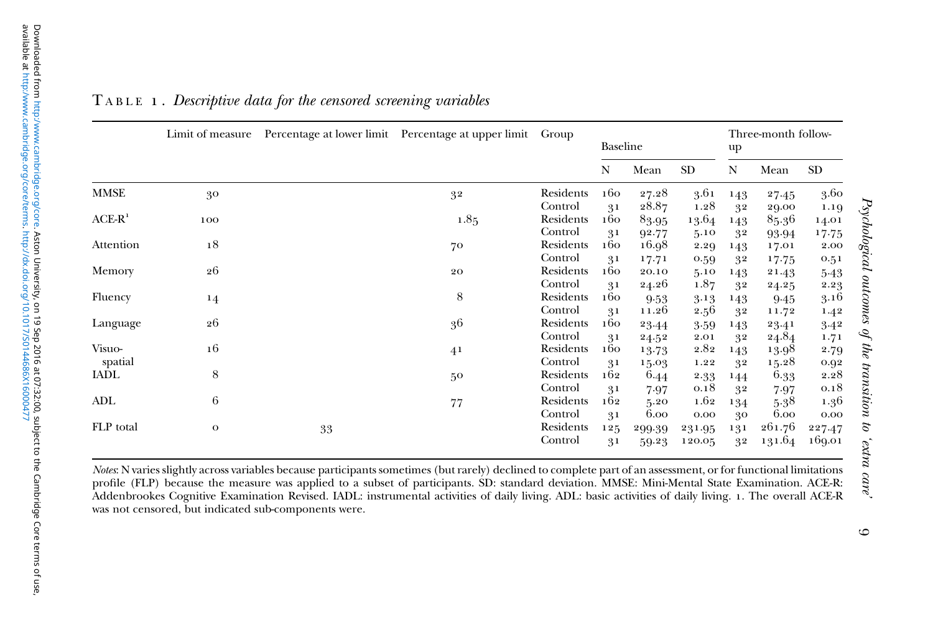|                   | Limit of measure |    | Percentage at lower limit Percentage at upper limit Group |                                 | Baseline                    |                         |                              | Three-month follow-<br>up |                         |                          |
|-------------------|------------------|----|-----------------------------------------------------------|---------------------------------|-----------------------------|-------------------------|------------------------------|---------------------------|-------------------------|--------------------------|
|                   |                  |    |                                                           |                                 | N                           | Mean                    | SD                           | N                         | Mean                    | SD                       |
| <b>MMSE</b>       | 30               |    | 32                                                        | Residents                       | 160                         | 27.28                   | 3.61                         | 143                       | 27.45                   | 3.60                     |
| $ACE-R1$          | 100              |    | 1.85                                                      | Control<br>Residents<br>Control | 31<br>160                   | 28.87<br>83.95          | 1.28<br>13.64                | 32<br>143                 | 29.00<br>85.36          | 1.19<br>14.01            |
| Attention         | 18               |    | 70                                                        | Residents<br>Control            | 31<br>160                   | 92.77<br>16.98          | 5.10<br>2.29                 | 32<br>143                 | 93.94<br>17.01          | 17.75<br>2.00            |
| Memory            | 26               |    | 20                                                        | Residents<br>Control            | 31<br>160<br>31             | 17.71<br>20.10<br>24.26 | 0.59<br>5.10<br>1.87         | 32<br>143                 | 17.75<br>21.43          | 0.51<br>$5-43$           |
| Fluency           | $^{14}$          |    | 8                                                         | Residents<br>Control            | 160                         | 9.53<br>11.26           | 3.13<br>2.56                 | 32<br>143                 | 24.25<br>9.45           | 2.23<br>3.16             |
| Language          | 26               |    | 3 <sup>6</sup>                                            | Residents<br>Control            | 31<br>160<br>31             | 23.44                   | 3.59<br>2.01                 | 32<br>143                 | 11.72<br>23.41<br>24.84 | 1.42<br>3.42             |
| Visuo-<br>spatial | 16               |    | 4 <sup>1</sup>                                            | Residents<br>Control            | 160<br>31                   | 24.52<br>13.73          | 2.82<br>1.22                 | 32<br>143                 | 13.98<br>15.28          | 1.71<br>2.79             |
| <b>IADL</b>       | 8                |    | 50                                                        | Residents<br>Control            | 162                         | 15.03<br>6.44           | 2.33<br>0.18                 | 32<br>144                 | 6.33                    | 0.92<br>2.28<br>0.18     |
| ADL               | 6                |    | 77                                                        | Residents<br>Control            | 31<br>162                   | 7.97<br>5.20<br>6.00    | 1.62                         | 32<br>134                 | 7.97<br>5.38<br>6.00    | 1.36                     |
| FLP total         | $\mathbf{o}$     | 33 |                                                           | Residents<br>Control            | 3 <sub>1</sub><br>125<br>31 | 299.39<br>59.23         | $0.00\,$<br>231.95<br>120.05 | 30<br>131<br>32           | 261.76<br>131.64        | 0.00<br>227.47<br>169.01 |

### <span id="page-8-0"></span> ${\tt T}$  <code>ABLE 1. Descriptive data for the censored screening variables</code>

Notes: N varies slightly across variables because participants sometimes (but rarely) declined to complete par<sup>t</sup> of an assessment, or for functional limitations profile (FLP) because the measure was applied to <sup>a</sup> subset of participants. SD: standard deviation. MMSE: Mini-Mental State Examination. ACE-R: Addenbrookes Cognitive Examination Revised. IADL: instrumental activities of daily living. ADL: basic activities of daily living. . The overall ACE-R was not censored, but indicated sub-components were.

Psychological outcomes of the transition to 'extra care'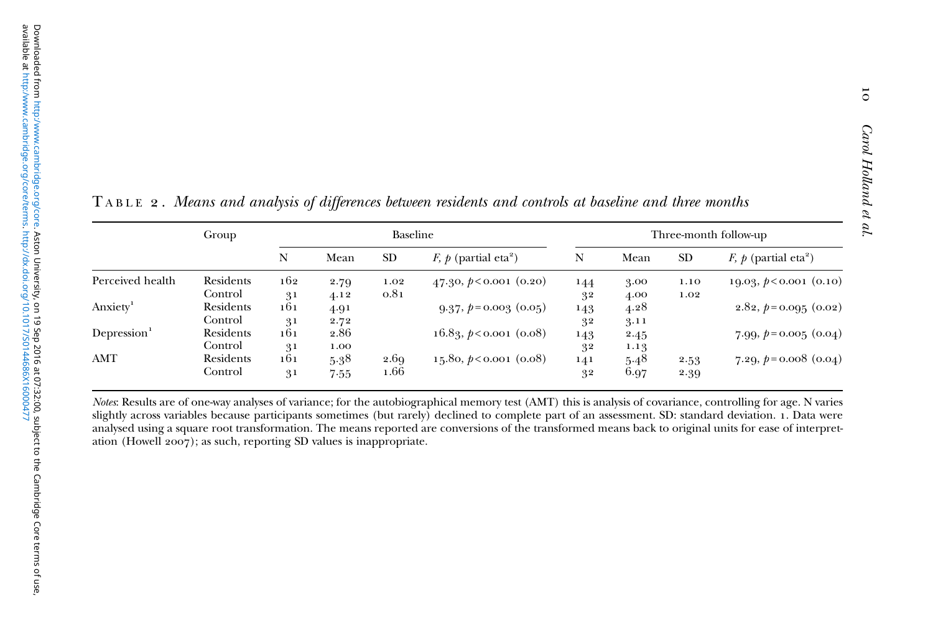|                         | Group     |                |      | Baseline  |                                      |     |      |           | Three-month follow-up              |
|-------------------------|-----------|----------------|------|-----------|--------------------------------------|-----|------|-----------|------------------------------------|
|                         |           | N              | Mean | <b>SD</b> | F, $p$ (partial eta <sup>2</sup> )   | N   | Mean | <b>SD</b> | F, $p$ (partial eta <sup>2</sup> ) |
| Perceived health        | Residents | 162            | 2.79 | 1.02      | 47.30, $p < 0.001$ (0.20)            | 144 | 3.00 | 1.10      | 19.03, $\dot{p}$ < 0.001 (0.10)    |
|                         | Control   | 3 <sup>1</sup> | 4.12 | 0.81      |                                      | 32  | 4.00 | 1.02      |                                    |
| Anxiety <sup>1</sup>    | Residents | 161            | 4.91 |           | $9.37, p=0.003$ (0.05)               | 143 | 4.28 |           | $2.82, p=0.095$ (0.02)             |
|                         | Control   | 3 <sup>1</sup> | 2.72 |           |                                      | 32  | 3.11 |           |                                    |
| Depression <sup>1</sup> | Residents | 161            | 2.86 |           | $16.89, \, \cancel{p}$ <0.001 (0.08) | 143 | 2.45 |           | 7.99, $p = 0.005$ (0.04)           |
|                         | Control   | 3 <sup>1</sup> | 1.00 |           |                                      | 32  | 1.13 |           |                                    |
| AMT                     | Residents | 161            | 5.38 | 2.69      | 15.80, $p < 0.001$ (0.08)            | 141 | 5.48 | 2.53      | 7.29, $p = 0.008$ (0.04)           |
|                         | Control   | 3 <sup>1</sup> | 7.55 | 1.66      |                                      | 32  | 6.97 | 2.39      |                                    |

<span id="page-9-0"></span> ${\tt Table 2}$  . Means and analysis of differences between residents and controls at baseline and three months

Notes: Results are of one-way analyses of variance; for the autobiographical memory test (AMT) this is analysis of covariance, controlling for age. N varies slightly across variables because participants sometimes (but rarely) declined to complete part of an assessment. SD: standard deviation. 1. Data were analysed using <sup>a</sup> square root transformation. The means reported are conversions of the transformed means back to original units for ease of interpretation (Howell  $2007$ ); as such, reporting SD values is inappropriate.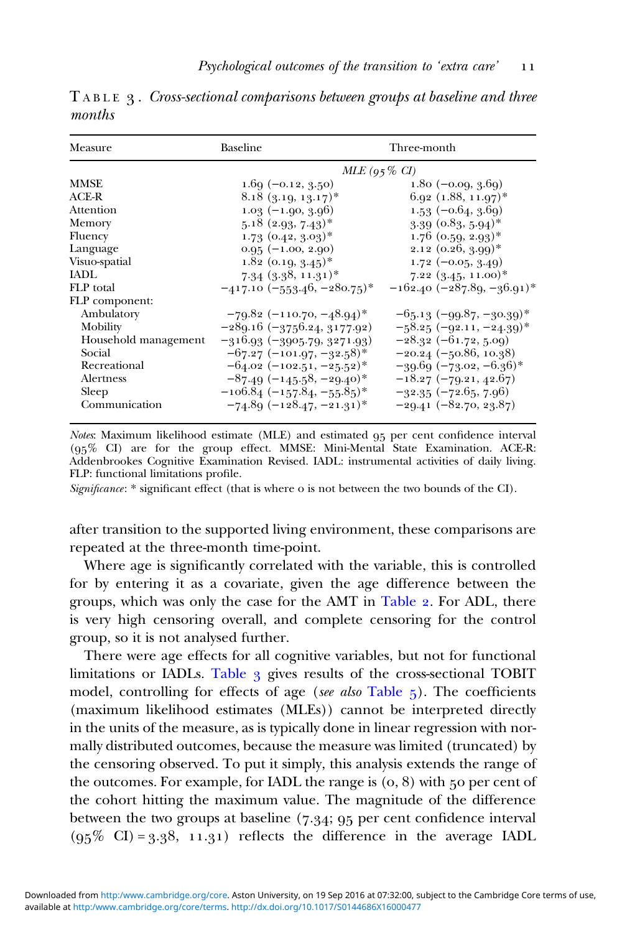| Measure              | Baseline                         | Three-month                                |
|----------------------|----------------------------------|--------------------------------------------|
|                      | $MLE(95\% CI)$                   |                                            |
| MMSE                 | $1.69(-0.12, 3.50)$              | $1.80(-0.09, 3.69)$                        |
| $ACF-R$              | $8.18$ $(9.19, 19.17)^*$         | $6.92$ $(1.88, 11.97)^*$                   |
| Attention            | $1.03(-1.90, 3.96)$              | $1.53(-0.64, 3.69)$                        |
| Memory               | $5.18$ $(2.93, 7.43)^*$          | $3.39$ $(0.83, 5.94)^*$                    |
| Fluency              | $1.73$ $(0.42, 3.03)^*$          | $1.76$ (0.59, 2.93) <sup>*</sup>           |
| Language             | $0.95(-1.00, 2.90)$              | $2.12$ $(0.26, 3.99)^*$                    |
| Visuo-spatial        | $1.82$ (0.19, $3.45$ )*          | $1.72(-0.05, 3.49)$                        |
| IADI.                | $7.34$ $(3.38, 11.31)^*$         | $7.22~(3.45, 11.00)^*$                     |
| FLP total            | $-417.10$ $(-553.46, -280.75)^*$ | $-162.40$ ( $-287.89, -36.91$ <sup>*</sup> |
| FLP component:       |                                  |                                            |
| Ambulatory           | $-79.82$ (-110.70, -48.94)*      | $-65.13$ $(-99.87, -30.39)^*$              |
| Mobility             | $-289.16(-3756.24, 3177.92)$     | $-58.25 (-92.11, -24.39)^*$                |
| Household management | $-316.93 (-3905.79, 3271.93)$    | $-28.32(-61.72, 5.09)$                     |
| Social               | $-67.27$ (-101.97, -32.58)*      | $-20.24(-50.86, 10.38)$                    |
| Recreational         | $-64.02$ $(-102.51, -25.52)^*$   | $-39.69 (-73.02, -6.36)^*$                 |
| Alertness            | $-87.49(-145.58,-29.40)^*$       | $-18.27 (-79.21, 42.67)$                   |
| Sleep                | $-106.84(-157.84,-55.85)$ *      | $-32.35(-72.65, 7.96)$                     |
| Communication        | $-74.89 (-128.47, -21.31)^*$     | $-29.41 (-82.70, 23.87)$                   |

<span id="page-10-0"></span>TABLE 3. Cross-sectional comparisons between groups at baseline and three months

Notes: Maximum likelihood estimate (MLE) and estimated 95 per cent confidence interval  $(95\% \text{ CI})$  are for the group effect. MMSE: Mini-Mental State Examination. ACE-R: Addenbrookes Cognitive Examination Revised. IADL: instrumental activities of daily living. FLP: functional limitations profile.

Significance: \* significant effect (that is where o is not between the two bounds of the CI).

after transition to the supported living environment, these comparisons are repeated at the three-month time-point.

Where age is significantly correlated with the variable, this is controlled for by entering it as a covariate, given the age difference between the groups, which was only the case for the AMT in [Table](#page-9-0) 2. For ADL, there is very high censoring overall, and complete censoring for the control group, so it is not analysed further.

There were age effects for all cognitive variables, but not for functional limitations or IADLs. Table 3 gives results of the cross-sectional TOBIT model, controlling for effects of age (see also [Table](#page-12-0)  $\zeta$ ). The coefficients (maximum likelihood estimates (MLEs)) cannot be interpreted directly in the units of the measure, as is typically done in linear regression with normally distributed outcomes, because the measure was limited (truncated) by the censoring observed. To put it simply, this analysis extends the range of the outcomes. For example, for IADL the range is  $(0, 8)$  with  $50$  per cent of the cohort hitting the maximum value. The magnitude of the difference between the two groups at baseline  $(7.34; 95)$  per cent confidence interval  $(95\% \text{ CI}) = 3.38, 11.31)$  reflects the difference in the average IADL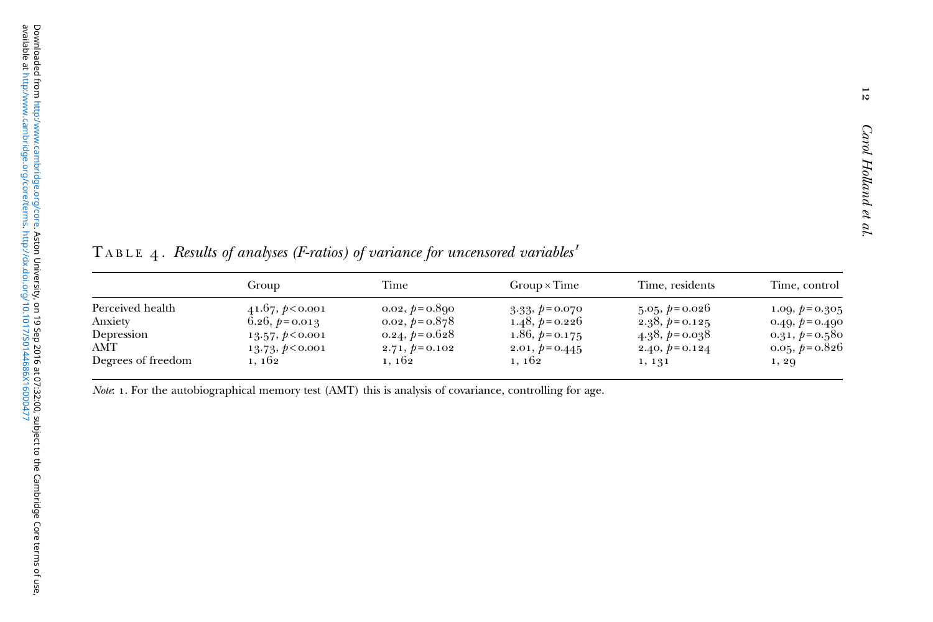<span id="page-11-0"></span>TABLE 4. Results of analyses (F-ratios) of variance for uncensored variables<sup>1</sup>

|                    | Group             | Time              | $Group \times Time$ | Time, residents | Time, control     |
|--------------------|-------------------|-------------------|---------------------|-----------------|-------------------|
| Perceived health   | 41.67, p < 0.001  | 0.02, $p = 0.890$ | $3.33, p=0.070$     | $5.05, p=0.026$ | 1.09, $p = 0.305$ |
| Anxiety            | 6.26, $p = 0.013$ | $0.02, p=0.878$   | 1.48, $p=0.226$     | 2.38, $p=0.125$ | 0.49, $p = 0.490$ |
| Depression         | 13.57, p < 0.001  | 0.24, $p = 0.628$ | 1.86, $p = 0.175$   | $4.38, p=0.038$ | 0.31, $p = 0.58c$ |
| AMT                | 13.73, p < 0.001  | $2.71, p=0.102$   | $2.01, p=0.445$     | $2.40, p=0.124$ | 0.05, $p = 0.826$ |
| Degrees of freedom | 1, 162            | 1, 162            | 1, 162              | 1, 131          | 1, 29             |

Note: 1. For the autobiographical memory test (AMT) this is analysis of covariance, controlling for age.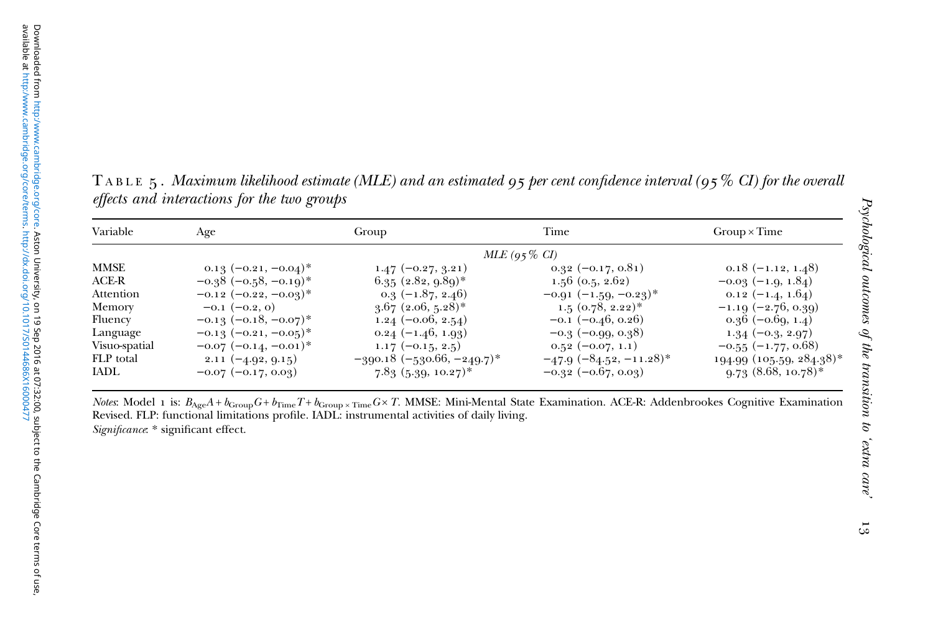<span id="page-12-0"></span><code>TABLE</code>  $_5$  . Maximum likelihood estimate (MLE) and an estimated 95 per cent confidence interval (95  $\%$  CI) for the overall effects and interactions for the two groups

| Variable      | Age                        | Group                         | Time                        | $Group \times Time$       |
|---------------|----------------------------|-------------------------------|-----------------------------|---------------------------|
|               |                            |                               | $MLE (95\% CI)$             |                           |
| <b>MMSE</b>   | $0.13(-0.21,-0.04)^*$      | $1.47 (-0.27, 3.21)$          | $0.32(-0.17, 0.81)$         | $0.18(-1.12, 1.48)$       |
| ACE-R         | $-0.38$ $(-0.58, -0.19)^*$ | $6.35$ $(2.82, 9.89)^*$       | $1.56$ (0.5, 2.62)          | $-0.03(-1.9, 1.84)$       |
| Attention     | $-0.12$ $(-0.22, -0.03)^*$ | $0.3(-1.87, 2.46)$            | $-0.91 (-1.59, -0.23)^*$    | $0.12 (-1.4, 1.64)$       |
| Memory        | $-0.1$ $(-0.2, 0)$         | $3.67$ (2.06, 5.28)*          | $1.5$ $(0.78, 2.22)^*$      | $-1.19(-2.76, 0.39)$      |
| Fluency       | $-0.13$ $(-0.18, -0.07)^*$ | $1.24 (-0.06, 2.54)$          | $-0.1$ $(-0.46, 0.26)$      | $0.36(-0.69, 1.4)$        |
| Language      | $-0.13(-0.21,-0.05)^*$     | $0.24 (-1.46, 1.93)$          | $-0.3$ ( $-0.99$ , $0.38$ ) | $1.34(-0.3, 2.97)$        |
| Visuo-spatial | $-0.07$ $(-0.14, -0.01)^*$ | $1.17(-0.15, 2.5)$            | $0.52(-0.07, 1.1)$          | $-0.55$ ( $-1.77, 0.68$ ) |
| FLP total     | $2.11 (-4.92, 9.15)$       | $-390.18 (-530.66, -249.7)^*$ | $-47.9 (-84.52, -11.28)$ *  | 194.99 (105.59, 284.38)*  |
| IADL          | $-0.07$ $(-0.17, 0.03)$    | $7.83~(5.39, 10.27)$ *        | $-0.32$ $(-0.67, 0.03)$     | $9.73(8.68, 10.78)$ *     |

*Notes*: Model 1 is:  $B_{\text{Age}}A + b_{\text{Group}}G + b_{\text{Time}}T + b_{\text{Group}} \times \text{Time}G \times T$ . MMSE: Mini-Mental State Examination. ACE-R: Addenbrookes Cognitive Examination Revised. FLP: functional limitations profile. IADL: instrumental activities of daily living. Significance: \* significant effect.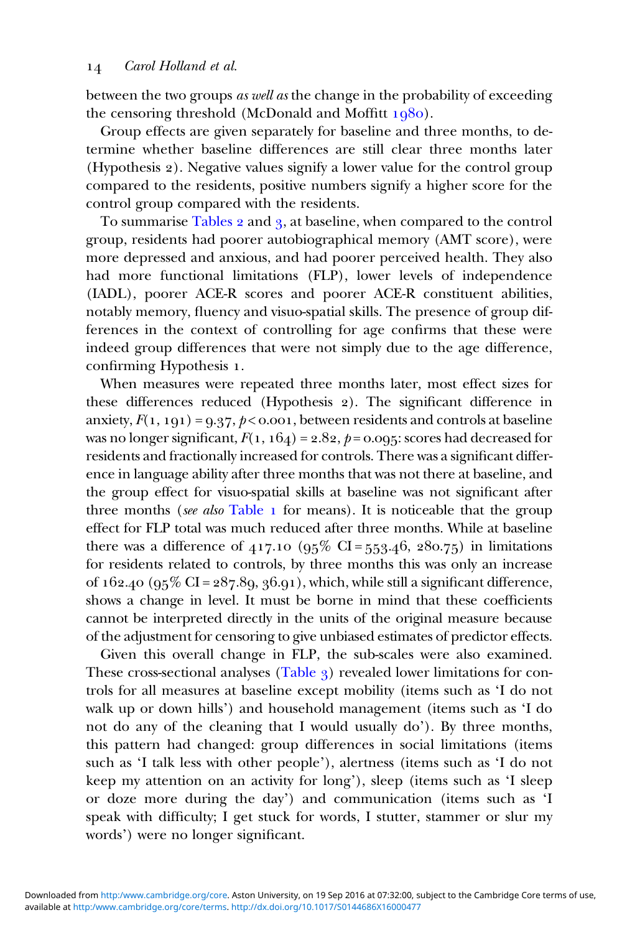between the two groups as well as the change in the probability of exceeding the censoring threshold (McDonald and Moffitt  $1080$ ).

Group effects are given separately for baseline and three months, to determine whether baseline differences are still clear three months later (Hypothesis 2). Negative values signify a lower value for the control group compared to the residents, positive numbers signify a higher score for the control group compared with the residents.

To summarise [Tables](#page-9-0) 2 and 3, at baseline, when compared to the control group, residents had poorer autobiographical memory (AMT score), were more depressed and anxious, and had poorer perceived health. They also had more functional limitations (FLP), lower levels of independence (IADL), poorer ACE-R scores and poorer ACE-R constituent abilities, notably memory, fluency and visuo-spatial skills. The presence of group differences in the context of controlling for age confirms that these were indeed group differences that were not simply due to the age difference, confirming Hypothesis 1.

When measures were repeated three months later, most effect sizes for these differences reduced (Hypothesis 2). The significant difference in anxiety,  $F(1, 191) = 9.37, p < 0.001$ , between residents and controls at baseline was no longer significant,  $F(1, 164) = 2.82$ ,  $p = 0.095$ : scores had decreased for residents and fractionally increased for controls. There was a significant difference in language ability after three months that was not there at baseline, and the group effect for visuo-spatial skills at baseline was not significant after three months (see also  $Table 1$  $Table 1$  for means). It is noticeable that the group effect for FLP total was much reduced after three months. While at baseline there was a difference of  $417.10 \ (95\% \ \text{CI} = 553.46, 280.75)$  in limitations for residents related to controls, by three months this was only an increase of  $162.40$  ( $95\%$  CI =  $287.89$ ,  $36.91$ ), which, while still a significant difference, shows a change in level. It must be borne in mind that these coefficients cannot be interpreted directly in the units of the original measure because of the adjustment for censoring to give unbiased estimates of predictor effects.

Given this overall change in FLP, the sub-scales were also examined. These cross-sectional analyses  $(Table_3)$  $(Table_3)$  $(Table_3)$  revealed lower limitations for controls for all measures at baseline except mobility (items such as 'I do not walk up or down hills') and household management (items such as 'I do not do any of the cleaning that I would usually do'). By three months, this pattern had changed: group differences in social limitations (items such as 'I talk less with other people'), alertness (items such as 'I do not keep my attention on an activity for long'), sleep (items such as 'I sleep or doze more during the day') and communication (items such as 'I speak with difficulty; I get stuck for words, I stutter, stammer or slur my words') were no longer significant.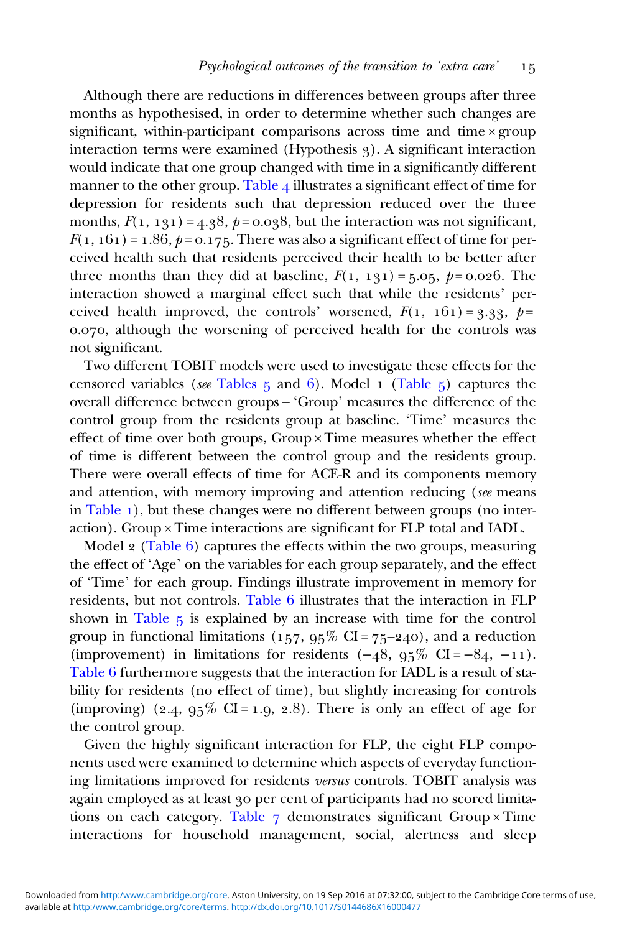Although there are reductions in differences between groups after three months as hypothesised, in order to determine whether such changes are significant, within-participant comparisons across time and time × group interaction terms were examined (Hypothesis 3). A significant interaction would indicate that one group changed with time in a significantly different manner to the other group. [Table](#page-11-0)  $_4$  illustrates a significant effect of time for depression for residents such that depression reduced over the three months,  $F(1, 131) = 4.38$ ,  $p = 0.038$ , but the interaction was not significant,  $F(1, 161) = 1.86$ ,  $p = 0.175$ . There was also a significant effect of time for perceived health such that residents perceived their health to be better after three months than they did at baseline,  $F(1, 131) = 5.05$ ,  $p = 0.026$ . The interaction showed a marginal effect such that while the residents' perceived health improved, the controls' worsened,  $F(1, 161) = 3.33, p =$ 0.070, although the worsening of perceived health for the controls was not significant.

Two different TOBIT models were used to investigate these effects for the censored variables (see [Tables](#page-12-0)  $5$  and  $6$ ). Model 1 ([Table](#page-12-0)  $5$ ) captures the overall difference between groups – 'Group' measures the difference of the control group from the residents group at baseline. 'Time' measures the effect of time over both groups, Group × Time measures whether the effect of time is different between the control group and the residents group. There were overall effects of time for ACE-R and its components memory and attention, with memory improving and attention reducing (see means in [Table](#page-8-0)  $\bf{1}$ ), but these changes were no different between groups (no interaction). Group × Time interactions are significant for FLP total and IADL.

Model  $\alpha$  [\(Table](#page-15-0) 6) captures the effects within the two groups, measuring the effect of 'Age' on the variables for each group separately, and the effect of 'Time' for each group. Findings illustrate improvement in memory for residents, but not controls. [Table](#page-15-0)  $6$  illustrates that the interaction in  $FLP$ shown in [Table](#page-12-0)  $5$  is explained by an increase with time for the control group in functional limitations ( $157, 95\%$  CI =  $75-240$ ), and a reduction (improvement) in limitations for residents  $(-48, 95\% \text{ CI} = -84, -11)$ . [Table](#page-15-0) 6 furthermore suggests that the interaction for IADL is a result of stability for residents (no effect of time), but slightly increasing for controls (improving) (2.4,  $95\%$  CI = 1.9, 2.8). There is only an effect of age for the control group.

Given the highly significant interaction for FLP, the eight FLP components used were examined to determine which aspects of everyday functioning limitations improved for residents versus controls. TOBIT analysis was again employed as at least 30 per cent of participants had no scored limita-tions on each category. [Table](#page-17-0)  $\frac{1}{7}$  demonstrates significant Group × Time interactions for household management, social, alertness and sleep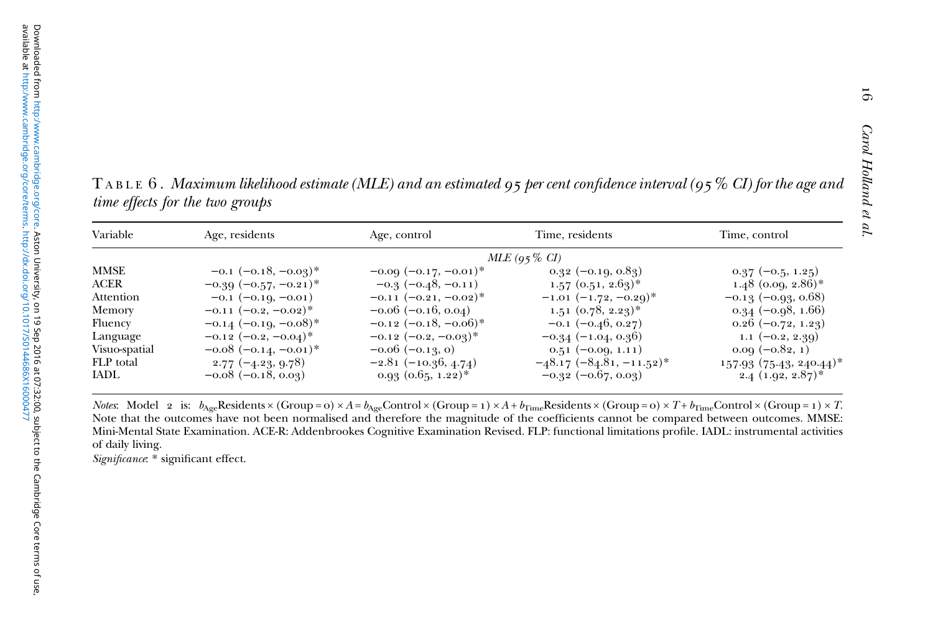<span id="page-15-0"></span><code>TABLE 6</code> . Maximum likelihood estimate (MLE) and an estimated 95 per cent confidence interval (95  $\%$  CI) for the age and time effects for the two groups

| Variable      | Age, residents             | Age, control               | Time, residents               | Time, control                         |
|---------------|----------------------------|----------------------------|-------------------------------|---------------------------------------|
|               |                            |                            | $MLE(95\% CI)$                |                                       |
| MMSE          | $-0.1$ $(-0.18, -0.09)^*$  | $-0.09(-0.17,-0.01)^*$     | $0.32(-0.19, 0.89)$           | $0.37(-0.5, 1.25)$                    |
| <b>ACER</b>   | $-0.39$ $(-0.57, -0.21)^*$ | $-0.3(-0.48,-0.11)$        | $1.57$ $(0.51, 2.63)^*$       | $1.48$ (0.09, 2.86)*                  |
| Attention     | $-0.1$ $(-0.19, -0.01)$    | $-0.11 (-0.21, -0.02)^*$   | $-1.01$ $(-1.72, -0.29)^*$    | $-0.13(-0.93, 0.68)$                  |
| Memory        | $-0.11$ $(-0.2, -0.02)^*$  | $-0.06$ ( $-0.16$ , 0.04)  | $1.51~(0.78, 2.23)^*$         | $0.34(-0.98, 1.66)$                   |
| Fluency       | $-0.14$ (-0.19, -0.08)*    | $-0.12$ $(-0.18, -0.06)^*$ | $-0.1$ $(-0.46, 0.27)$        | $0.26(-0.72, 1.23)$                   |
| Language      | $-0.12$ $(-0.2, -0.04)^*$  | $-0.12$ $(-0.2, -0.03)^*$  | $-0.34(-1.04, 0.36)$          | 1.1 $(-0.2, 2.39)$                    |
| Visuo-spatial | $-0.08$ $(-0.14, -0.01)^*$ | $-0.06$ $(-0.13, 0)$       | $0.51(-0.09, 1.11)$           | $0.09(-0.82, 1)$                      |
| FLP total     | $2.77(-4.23, 9.78)$        | $-2.81(-10.36, 4.74)$      | $-48.17$ $(-84.81, -11.52)^*$ | $157.93$ (75.43, 240.44) <sup>*</sup> |
| <b>IADL</b>   | $-0.08$ ( $-0.18$ , 0.03)  | $0.93$ $(0.65, 1.22)^*$    | $-0.32$ $(-0.67, 0.03)$       | $2.4$ (1.92, 2.87)*                   |

*Notes*: Model 2 is:  $b_{\rm Age}$ Residents × (Group = 0) × A =  $b_{\rm Age}$ Control × (Group = 1) × A +  $b_{\rm Time}$ Residents × (Group = 0) × T +  $b_{\rm Time}$ Control × (Group = 1) × T Note that the outcomes have not been normalised and therefore the magnitude of the coefficients cannot be compared between outcomes. MMSE: Mini-Mental State Examination. ACE-R: Addenbrookes Cognitive Examination Revised. FLP: functional limitations profile. IADL: instrumental activities of daily living.

Significance: \* significant effect.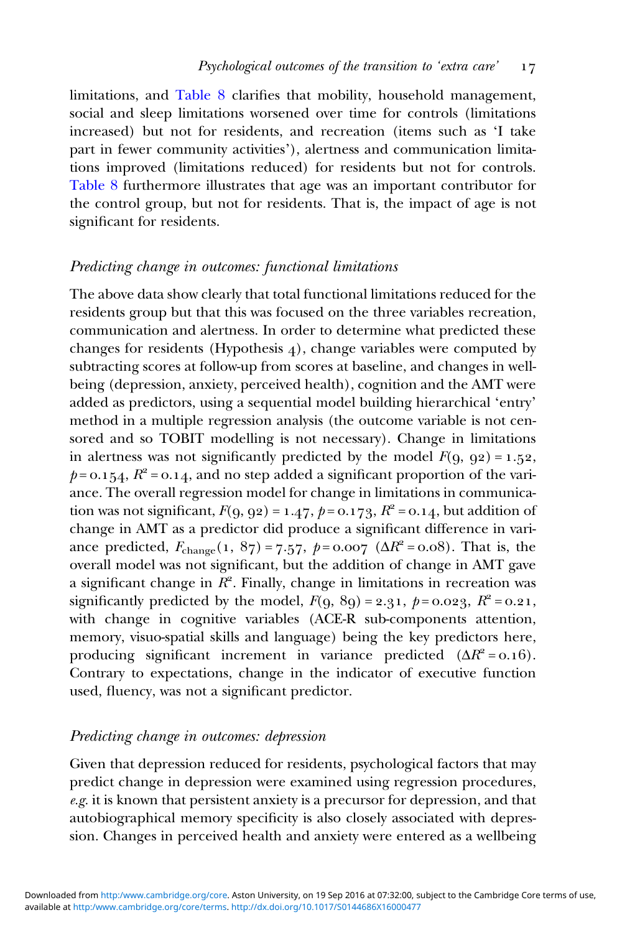limitations, and [Table](#page-18-0) 8 clarifies that mobility, household management, social and sleep limitations worsened over time for controls (limitations increased) but not for residents, and recreation (items such as 'I take part in fewer community activities'), alertness and communication limitations improved (limitations reduced) for residents but not for controls. [Table](#page-18-0) 8 furthermore illustrates that age was an important contributor for the control group, but not for residents. That is, the impact of age is not significant for residents.

### Predicting change in outcomes: functional limitations

The above data show clearly that total functional limitations reduced for the residents group but that this was focused on the three variables recreation, communication and alertness. In order to determine what predicted these changes for residents (Hypothesis  $4$ ), change variables were computed by subtracting scores at follow-up from scores at baseline, and changes in wellbeing (depression, anxiety, perceived health), cognition and the AMT were added as predictors, using a sequential model building hierarchical 'entry' method in a multiple regression analysis (the outcome variable is not censored and so TOBIT modelling is not necessary). Change in limitations in alertness was not significantly predicted by the model  $F(q, q2) = 1.52$ ,  $p = 0.154$ ,  $R^2 = 0.14$ , and no step added a significant proportion of the variance. The overall regression model for change in limitations in communication was not significant,  $F(9, 92) = 1.47$ ,  $p = 0.173$ ,  $R^2 = 0.14$ , but addition of change in AMT as a predictor did produce a significant difference in variance predicted,  $F_{\text{change}}(1, 87) = 7.57$ ,  $p = 0.007$  ( $\Delta R^2 = 0.08$ ). That is, the overall model was not significant, but the addition of change in AMT gave a significant change in  $R^2$ . Finally, change in limitations in recreation was significantly predicted by the model,  $F(q, 8q) = 2.31, p = 0.023, R^2 = 0.21,$ with change in cognitive variables (ACE-R sub-components attention, memory, visuo-spatial skills and language) being the key predictors here, producing significant increment in variance predicted  $(\Delta R^2 = 0.16)$ . Contrary to expectations, change in the indicator of executive function used, fluency, was not a significant predictor.

# Predicting change in outcomes: depression

Given that depression reduced for residents, psychological factors that may predict change in depression were examined using regression procedures,  $e.g.$  it is known that persistent anxiety is a precursor for depression, and that autobiographical memory specificity is also closely associated with depression. Changes in perceived health and anxiety were entered as a wellbeing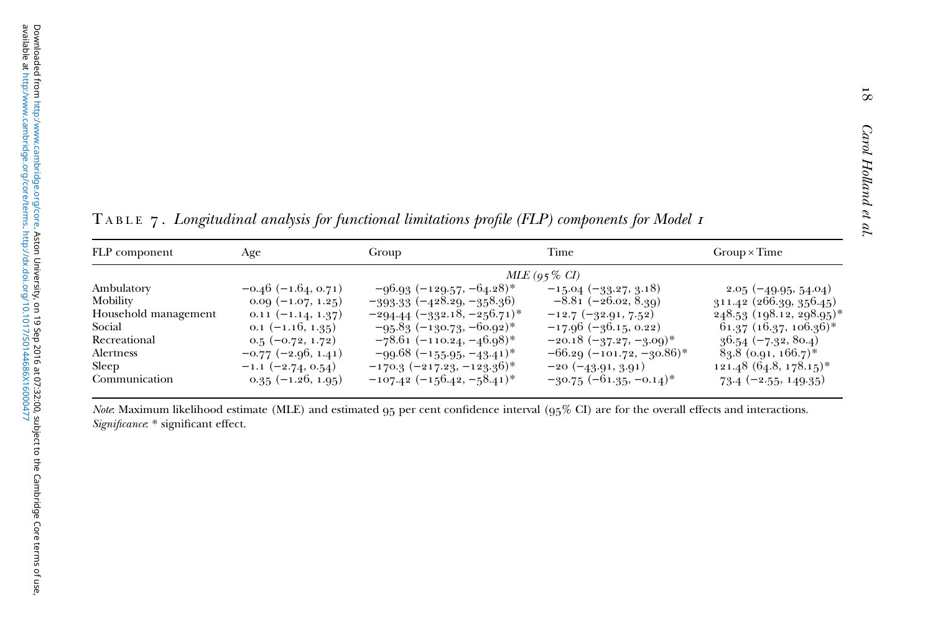<span id="page-17-0"></span> $\texttt{T} \texttt{A} \texttt{B} \texttt{L} \texttt{E}$   $\texttt{Z}$  . Longitudinal analysis for functional limitations profile (FLP) components for Model 1

| FLP component        | Age                     | Group                            | Time                         | $Group \times Time$               |
|----------------------|-------------------------|----------------------------------|------------------------------|-----------------------------------|
|                      |                         |                                  | $MLE (95\% CI)$              |                                   |
| Ambulatory           | $-0.46$ (-1.64, 0.71)   | $-96.93 (-129.57, -64.28)^*$     | $-15.04 (-33.27, 3.18)$      | $2.05(-49.95, 54.04)$             |
| Mobility             | $0.00(-1.07, 1.25)$     | $-393.33 (-428.29, -358.36)$     | $-8.81 (-26.02, 8.39)$       | 311.42 (266.39, 356.45)           |
| Household management | $0.11 (-1.14, 1.37)$    | $-294.44$ $(-332.18, -256.71)$ * | $-12.7(-32.91, 7.52)$        | 248.53 (198.12, 298.95)*          |
| Social               | $0.1$ $(-1.16, 1.35)$   | $-95.83(-130.73,-60.92)$ *       | $-17.96(-36.15, 0.22)$       | $61.37$ $(16.37, 106.36)^*$       |
| Recreational         | $0.5(-0.72, 1.72)$      | $-78.61(-110.24,-46.98)$ *       | $-20.18$ $(-37.27, -3.09)^*$ | $36.54 (-7.32, 80.4)$             |
| Alertness            | $-0.77$ $(-2.96, 1.41)$ | $-99.68$ $(-155.95, -43.41)^*$   | $-66.29(-101.72,-30.86)$ *   | $83.8$ (0.91, 166.7) <sup>*</sup> |
| Sleep                | $-1.1 (-2.74, 0.54)$    | $-170.3 (-217.23, -123.36)^*$    | $-20 (-43.91, 3.91)$         | $121.48(64.8, 178.15)^*$          |
| Communication        | $0.35 (-1.26, 1.95)$    | $-107.42$ $(-156.42, -58.41)^*$  | $-30.75$ $(-61.35, -0.14)^*$ | $73.4 (-2.55, 149.35)$            |

Note: Maximum likelihood estimate (MLE) and estimated  $95$  per cent confidence interval ( $95\%$  CI) are for the overall effects and interactions. Significance: \* significant effect.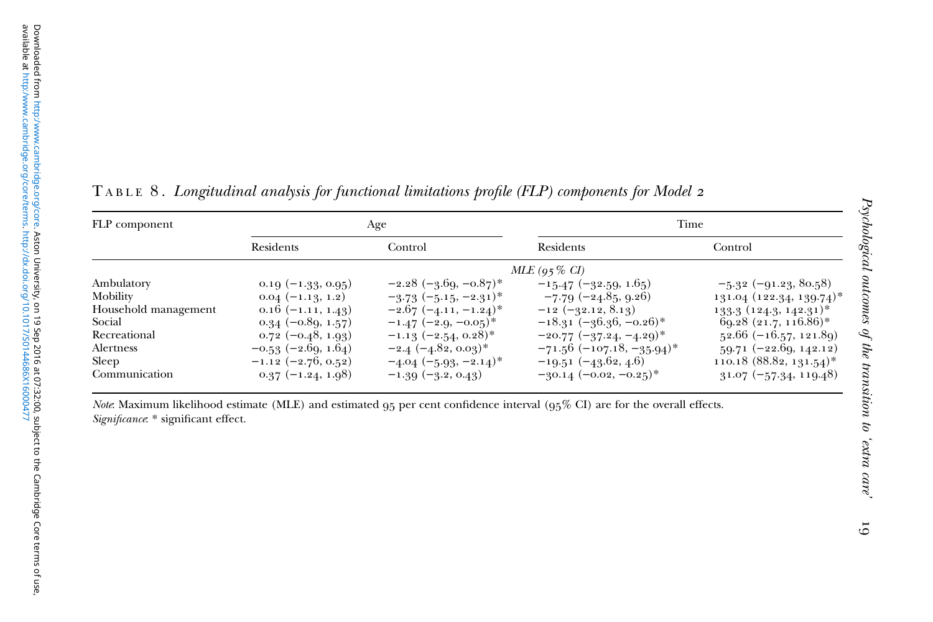| FLP component        |                         | Age                        | Time                         |                               |
|----------------------|-------------------------|----------------------------|------------------------------|-------------------------------|
|                      | Residents               | Control                    | Residents                    | Control                       |
|                      |                         |                            | $MLE (95\% CI)$              |                               |
| Ambulatory           | $0.19(-1.33, 0.95)$     | $-2.28$ $(-3.69, -0.87)^*$ | $-15.47$ (-32.59, 1.65)      | $-5.32$ (-91.23, 80.58)       |
| Mobility             | $0.04(-1.13, 1.2)$      | $-3.73(-5.15,-2.31)^*$     | $-7.79(-24.85, 9.26)$        | $131.04$ $(122.34, 139.74)^*$ |
| Household management | $0.16(-1.11, 1.43)$     | $-2.67(-4.11,-1.24)^*$     | $-12 (-32.12, 8.13)$         | $133.3(124.3, 142.31)^*$      |
| Social               | $0.34(-0.89, 1.57)$     | $-1.47$ $(-2.9, -0.05)^*$  | $-18.31 (-36.36, -0.26)^*$   | $69.28$ $(21.7, 116.86)^*$    |
| Recreational         | $0.72(-0.48, 1.93)$     | $-1.13$ $(-2.54, 0.28)$ *  | $-20.77$ $(-37.24, -4.29)^*$ | $52.66 (-16.57, 121.89)$      |
| Alertness            | $-0.53$ $(-2.69, 1.64)$ | $-2.4$ $(-4.82, 0.03)^*$   | $-71.56$ (-107.18, -35.94)*  | $59.71 (-22.69, 142.12)$      |
| Sleep                | $-1.12 (-2.76, 0.52)$   | $-4.04$ $(-5.93, -2.14)^*$ | $-19.51 (-43.62, 4.6)$       | 110.18 $(88.82, 131.54)^*$    |
| Communication        | $0.37(-1.24, 1.98)$     | $-1.39(-3.2, 0.43)$        | $-30.14(-0.02,-0.25)^*$      | $31.07 (-57.34, 119.48)$      |

<span id="page-18-0"></span> $\texttt{T} \texttt{ABLE } 8$  . Longitudinal analysis for functional limitations profile (FLP) components for Model 2

Note: Maximum likelihood estimate (MLE) and estimated  $95$  per cent confidence interval  $(95\% \text{ CI})$  are for the overall effects. Significance: \* significant effect.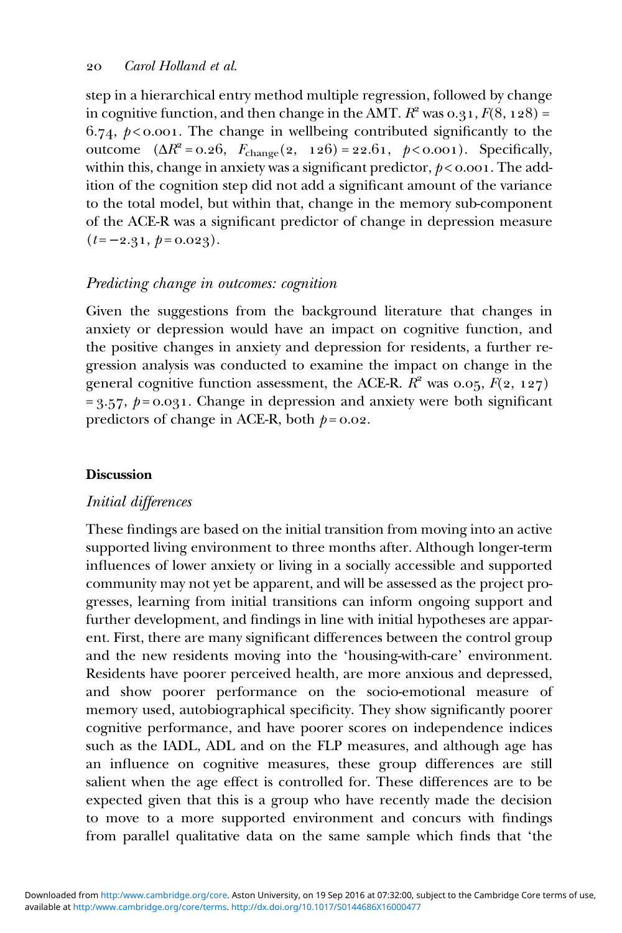step in a hierarchical entry method multiple regression, followed by change in cognitive function, and then change in the AMT.  $R^2$  was 0.31,  $F(8, 128) =$ 6.74,  $p < 0.001$ . The change in wellbeing contributed significantly to the outcome  $(\Delta R^2 = 0.26, F_{change}(2, 126) = 22.61, p < 0.001)$ . Specifically, within this, change in anxiety was a significant predictor,  $p < 0.001$ . The addition of the cognition step did not add a significant amount of the variance to the total model, but within that, change in the memory sub-component of the ACE-R was a significant predictor of change in depression measure  $(t = -2.31, p = 0.023).$ 

# Predicting change in outcomes: cognition

Given the suggestions from the background literature that changes in anxiety or depression would have an impact on cognitive function, and the positive changes in anxiety and depression for residents, a further regression analysis was conducted to examine the impact on change in the general cognitive function assessment, the ACE-R.  $R^2$  was 0.05,  $F(2, 127)$  $= 3.57$ ,  $p = 0.031$ . Change in depression and anxiety were both significant predictors of change in ACE-R, both  $p = 0.02$ .

### **Discussion**

# Initial differences

These findings are based on the initial transition from moving into an active supported living environment to three months after. Although longer-term influences of lower anxiety or living in a socially accessible and supported community may not yet be apparent, and will be assessed as the project progresses, learning from initial transitions can inform ongoing support and further development, and findings in line with initial hypotheses are apparent. First, there are many significant differences between the control group and the new residents moving into the 'housing-with-care' environment. Residents have poorer perceived health, are more anxious and depressed, and show poorer performance on the socio-emotional measure of memory used, autobiographical specificity. They show significantly poorer cognitive performance, and have poorer scores on independence indices such as the IADL, ADL and on the FLP measures, and although age has an influence on cognitive measures, these group differences are still salient when the age effect is controlled for. These differences are to be expected given that this is a group who have recently made the decision to move to a more supported environment and concurs with findings from parallel qualitative data on the same sample which finds that 'the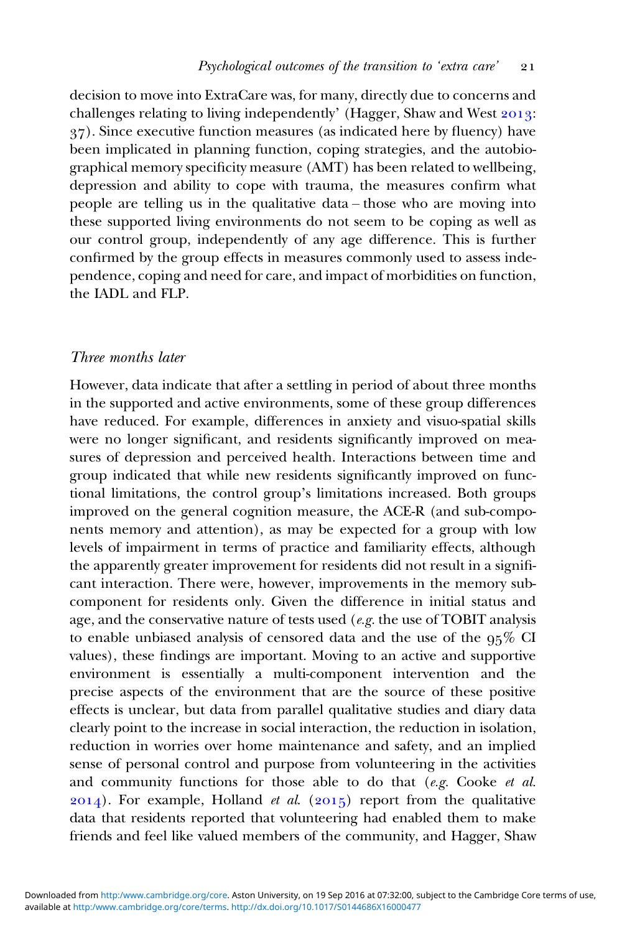decision to move into ExtraCare was, for many, directly due to concerns and challenges relating to living independently' (Hagger, Shaw and West  $2013$ : ). Since executive function measures (as indicated here by fluency) have been implicated in planning function, coping strategies, and the autobiographical memory specificity measure (AMT) has been related to wellbeing, depression and ability to cope with trauma, the measures confirm what people are telling us in the qualitative data – those who are moving into these supported living environments do not seem to be coping as well as our control group, independently of any age difference. This is further confirmed by the group effects in measures commonly used to assess independence, coping and need for care, and impact of morbidities on function, the IADL and FLP.

#### Three months later

However, data indicate that after a settling in period of about three months in the supported and active environments, some of these group differences have reduced. For example, differences in anxiety and visuo-spatial skills were no longer significant, and residents significantly improved on measures of depression and perceived health. Interactions between time and group indicated that while new residents significantly improved on functional limitations, the control group's limitations increased. Both groups improved on the general cognition measure, the ACE-R (and sub-components memory and attention), as may be expected for a group with low levels of impairment in terms of practice and familiarity effects, although the apparently greater improvement for residents did not result in a significant interaction. There were, however, improvements in the memory subcomponent for residents only. Given the difference in initial status and age, and the conservative nature of tests used (e.g. the use of TOBIT analysis to enable unbiased analysis of censored data and the use of the  $95\%$  CI values), these findings are important. Moving to an active and supportive environment is essentially a multi-component intervention and the precise aspects of the environment that are the source of these positive effects is unclear, but data from parallel qualitative studies and diary data clearly point to the increase in social interaction, the reduction in isolation, reduction in worries over home maintenance and safety, and an implied sense of personal control and purpose from volunteering in the activities and community functions for those able to do that  $(e.g. Cooke et al.$  $(2014)$ . For example, Holland *et al.*  $(2015)$  report from the qualitative data that residents reported that volunteering had enabled them to make friends and feel like valued members of the community, and Hagger, Shaw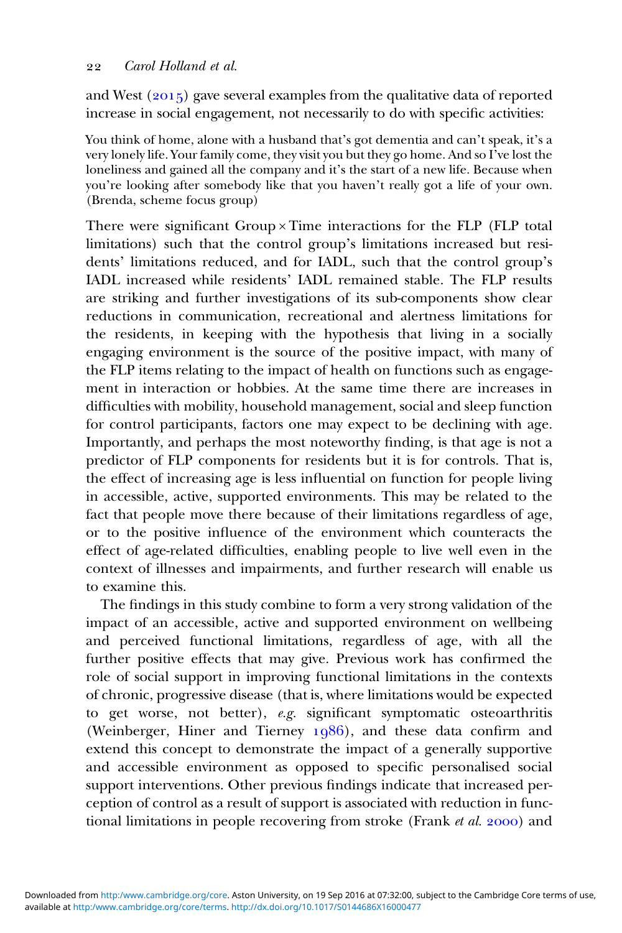and West  $(2015)$  gave several examples from the qualitative data of reported increase in social engagement, not necessarily to do with specific activities:

You think of home, alone with a husband that's got dementia and can't speak, it's a very lonely life. Your family come, they visit you but they go home. And so I've lost the loneliness and gained all the company and it's the start of a new life. Because when you're looking after somebody like that you haven't really got a life of your own. (Brenda, scheme focus group)

There were significant Group × Time interactions for the FLP (FLP total limitations) such that the control group's limitations increased but residents' limitations reduced, and for IADL, such that the control group's IADL increased while residents' IADL remained stable. The FLP results are striking and further investigations of its sub-components show clear reductions in communication, recreational and alertness limitations for the residents, in keeping with the hypothesis that living in a socially engaging environment is the source of the positive impact, with many of the FLP items relating to the impact of health on functions such as engagement in interaction or hobbies. At the same time there are increases in difficulties with mobility, household management, social and sleep function for control participants, factors one may expect to be declining with age. Importantly, and perhaps the most noteworthy finding, is that age is not a predictor of FLP components for residents but it is for controls. That is, the effect of increasing age is less influential on function for people living in accessible, active, supported environments. This may be related to the fact that people move there because of their limitations regardless of age, or to the positive influence of the environment which counteracts the effect of age-related difficulties, enabling people to live well even in the context of illnesses and impairments, and further research will enable us to examine this.

The findings in this study combine to form a very strong validation of the impact of an accessible, active and supported environment on wellbeing and perceived functional limitations, regardless of age, with all the further positive effects that may give. Previous work has confirmed the role of social support in improving functional limitations in the contexts of chronic, progressive disease (that is, where limitations would be expected to get worse, not better), e.g. significant symptomatic osteoarthritis (Weinberger, Hiner and Tierney  $1986$ ), and these data confirm and extend this concept to demonstrate the impact of a generally supportive and accessible environment as opposed to specific personalised social support interventions. Other previous findings indicate that increased perception of control as a result of support is associated with reduction in functional limitations in people recovering from stroke (Frank  $et$   $al.$  2000) and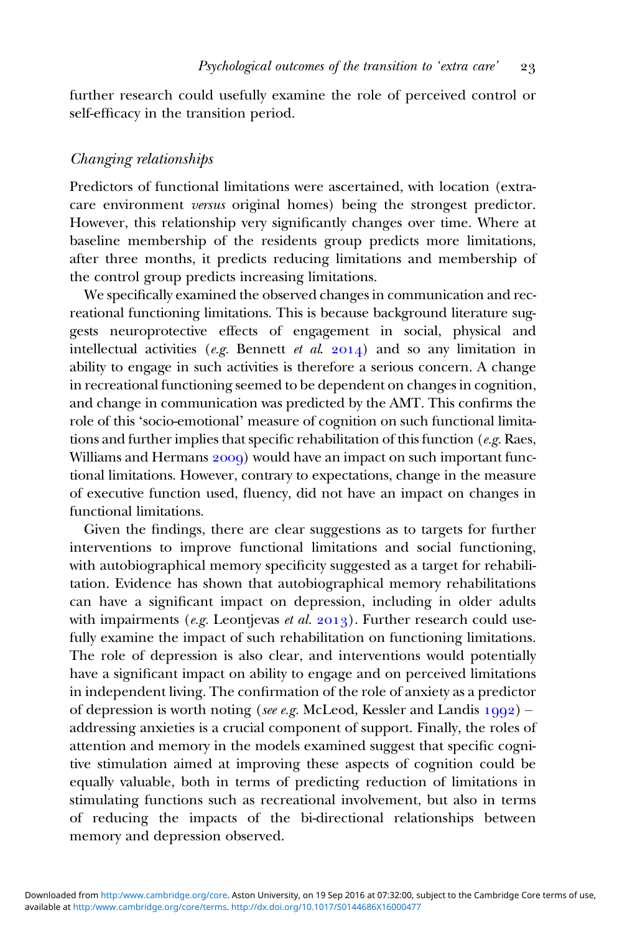further research could usefully examine the role of perceived control or self-efficacy in the transition period.

### Changing relationships

Predictors of functional limitations were ascertained, with location (extracare environment versus original homes) being the strongest predictor. However, this relationship very significantly changes over time. Where at baseline membership of the residents group predicts more limitations, after three months, it predicts reducing limitations and membership of the control group predicts increasing limitations.

We specifically examined the observed changes in communication and recreational functioning limitations. This is because background literature suggests neuroprotective effects of engagement in social, physical and intellectual activities (e.g. Bennett et al.  $2014$ ) and so any limitation in ability to engage in such activities is therefore a serious concern. A change in recreational functioning seemed to be dependent on changes in cognition, and change in communication was predicted by the AMT. This confirms the role of this 'socio-emotional' measure of cognition on such functional limitations and further implies that specific rehabilitation of this function (e.g. Raes, Williams and Hermans 2009) would have an impact on such important functional limitations. However, contrary to expectations, change in the measure of executive function used, fluency, did not have an impact on changes in functional limitations.

Given the findings, there are clear suggestions as to targets for further interventions to improve functional limitations and social functioning, with autobiographical memory specificity suggested as a target for rehabilitation. Evidence has shown that autobiographical memory rehabilitations can have a significant impact on depression, including in older adults with impairments (e.g. Leontjevas et al. 2013). Further research could usefully examine the impact of such rehabilitation on functioning limitations. The role of depression is also clear, and interventions would potentially have a significant impact on ability to engage and on perceived limitations in independent living. The confirmation of the role of anxiety as a predictor of depression is worth noting (see e.g. McLeod, Kessler and Landis  $1992$ ) – addressing anxieties is a crucial component of support. Finally, the roles of attention and memory in the models examined suggest that specific cognitive stimulation aimed at improving these aspects of cognition could be equally valuable, both in terms of predicting reduction of limitations in stimulating functions such as recreational involvement, but also in terms of reducing the impacts of the bi-directional relationships between memory and depression observed.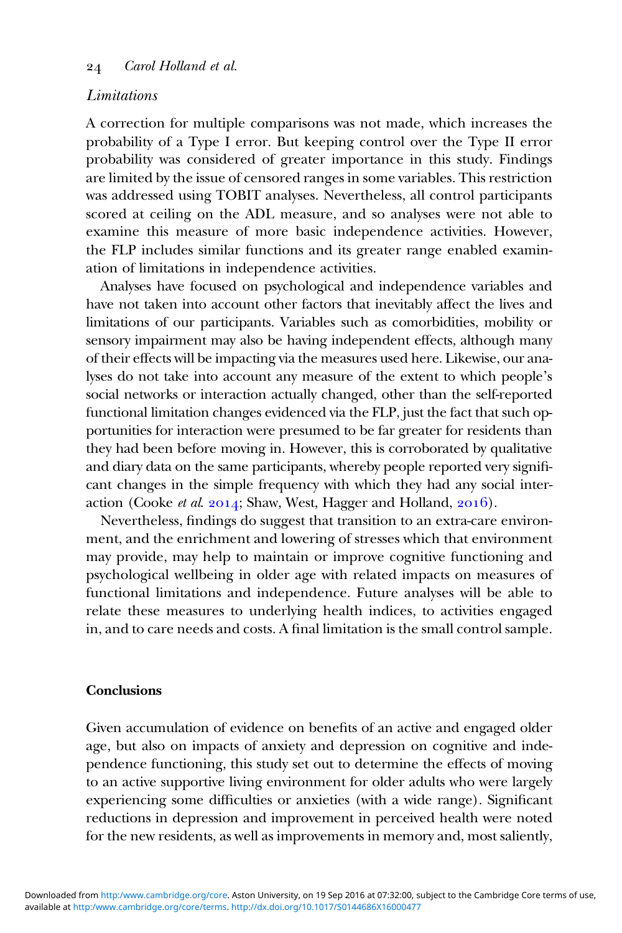### Limitations

A correction for multiple comparisons was not made, which increases the probability of a Type I error. But keeping control over the Type II error probability was considered of greater importance in this study. Findings are limited by the issue of censored ranges in some variables. This restriction was addressed using TOBIT analyses. Nevertheless, all control participants scored at ceiling on the ADL measure, and so analyses were not able to examine this measure of more basic independence activities. However, the FLP includes similar functions and its greater range enabled examination of limitations in independence activities.

Analyses have focused on psychological and independence variables and have not taken into account other factors that inevitably affect the lives and limitations of our participants. Variables such as comorbidities, mobility or sensory impairment may also be having independent effects, although many of their effects will be impacting via the measures used here. Likewise, our analyses do not take into account any measure of the extent to which people's social networks or interaction actually changed, other than the self-reported functional limitation changes evidenced via the FLP, just the fact that such opportunities for interaction were presumed to be far greater for residents than they had been before moving in. However, this is corroborated by qualitative and diary data on the same participants, whereby people reported very significant changes in the simple frequency with which they had any social interaction (Cooke et al. 2014; Shaw, West, Hagger and Holland, 2016).

Nevertheless, findings do suggest that transition to an extra-care environment, and the enrichment and lowering of stresses which that environment may provide, may help to maintain or improve cognitive functioning and psychological wellbeing in older age with related impacts on measures of functional limitations and independence. Future analyses will be able to relate these measures to underlying health indices, to activities engaged in, and to care needs and costs. A final limitation is the small control sample.

### Conclusions

Given accumulation of evidence on benefits of an active and engaged older age, but also on impacts of anxiety and depression on cognitive and independence functioning, this study set out to determine the effects of moving to an active supportive living environment for older adults who were largely experiencing some difficulties or anxieties (with a wide range). Significant reductions in depression and improvement in perceived health were noted for the new residents, as well as improvements in memory and, most saliently,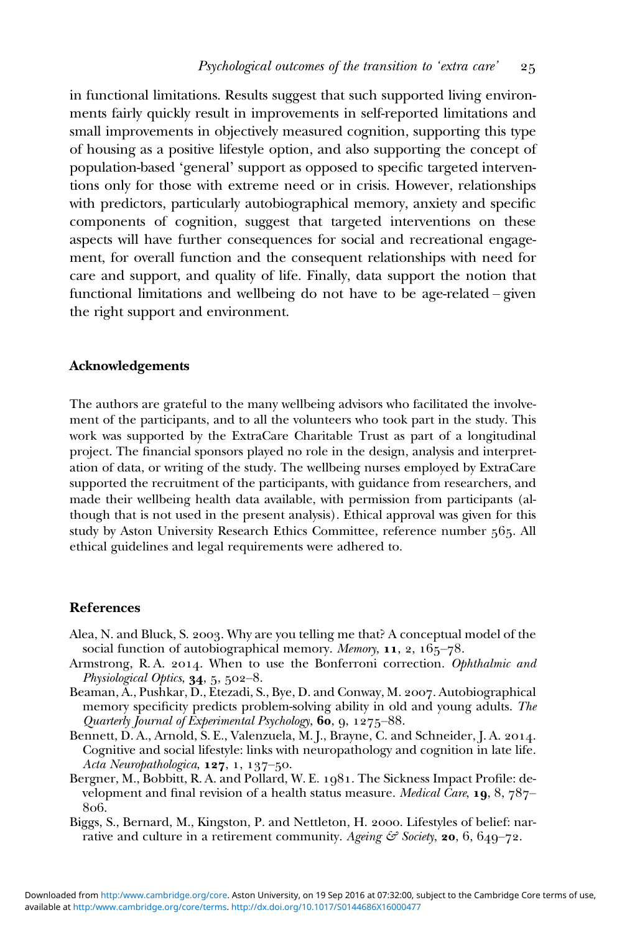<span id="page-24-0"></span>in functional limitations. Results suggest that such supported living environments fairly quickly result in improvements in self-reported limitations and small improvements in objectively measured cognition, supporting this type of housing as a positive lifestyle option, and also supporting the concept of population-based 'general' support as opposed to specific targeted interventions only for those with extreme need or in crisis. However, relationships with predictors, particularly autobiographical memory, anxiety and specific components of cognition, suggest that targeted interventions on these aspects will have further consequences for social and recreational engagement, for overall function and the consequent relationships with need for care and support, and quality of life. Finally, data support the notion that functional limitations and wellbeing do not have to be age-related – given the right support and environment.

#### Acknowledgements

The authors are grateful to the many wellbeing advisors who facilitated the involvement of the participants, and to all the volunteers who took part in the study. This work was supported by the ExtraCare Charitable Trust as part of a longitudinal project. The financial sponsors played no role in the design, analysis and interpretation of data, or writing of the study. The wellbeing nurses employed by ExtraCare supported the recruitment of the participants, with guidance from researchers, and made their wellbeing health data available, with permission from participants (although that is not used in the present analysis). Ethical approval was given for this study by Aston University Research Ethics Committee, reference number 565. All ethical guidelines and legal requirements were adhered to.

#### References

- Alea, N. and Bluck, S. 2003. Why are you telling me that? A conceptual model of the social function of autobiographical memory. *Memory*,  $11$ , 2,  $165-78$ .
- Armstrong, R.A. 2014. When to use the Bonferroni correction. Ophthalmic and Physiological Optics,  $34, 5, 502-8$ .
- Beaman, A., Pushkar, D., Etezadi, S., Bye, D. and Conway, M. 2007. Autobiographical memory specificity predicts problem-solving ability in old and young adults. The Quarterly Journal of Experimental Psychology,  $60, 9, 1275-88$ .
- Bennett, D. A., Arnold, S. E., Valenzuela, M. J., Brayne, C. and Schneider, J. A. 2014. Cognitive and social lifestyle: links with neuropathology and cognition in late life.  $Acia$  Neuropathologica, 127, 1, 137-50.
- Bergner, M., Bobbitt, R. A. and Pollard, W. E. 1981. The Sickness Impact Profile: development and final revision of a health status measure. *Medical Care*, 19, 8,  $787-$ 806.
- Biggs, S., Bernard, M., Kingston, P. and Nettleton, H. 2000. Lifestyles of belief: narrative and culture in a retirement community. Ageing  $\mathcal{E}$  Society, 20, 6, 649-72.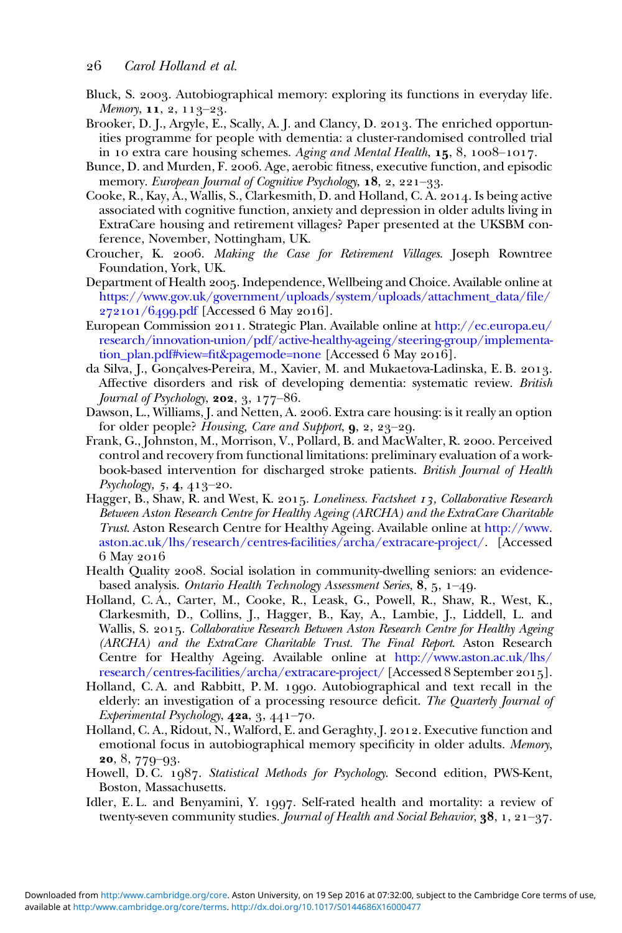- <span id="page-25-0"></span>Bluck, S. 2003. Autobiographical memory: exploring its functions in everyday life. Memory,  $11, 2, 113-23$ .
- Brooker, D. J., Argyle, E., Scally, A. J. and Clancy, D. 2013. The enriched opportunities programme for people with dementia: a cluster-randomised controlled trial in 10 extra care housing schemes. Aging and Mental Health,  $15$ ,  $8$ ,  $1008-1017$ .
- Bunce, D. and Murden, F. 2006. Age, aerobic fitness, executive function, and episodic memory. European Journal of Cognitive Psychology,  $18, 2, 221-33$ .
- Cooke, R., Kay, A., Wallis, S., Clarkesmith, D. and Holland, C. A.  $2014$ . Is being active associated with cognitive function, anxiety and depression in older adults living in ExtraCare housing and retirement villages? Paper presented at the UKSBM conference, November, Nottingham, UK.
- Croucher, K. 2006. Making the Case for Retirement Villages. Joseph Rowntree Foundation, York, UK.
- Department of Health 2005. Independence, Wellbeing and Choice. Available online at [https://www.gov.uk/government/uploads/system/uploads/attachment\\_data/](https://www.gov.uk/government/uploads/system/uploads/attachment_data/file/272101/6499.pdf)file/  $272101/6499$ .pdf [Accessed 6 May 2016].
- European Commission 2011. Strategic Plan. Available online at [http://ec.europa.eu/](http://ec.europa.eu/research/innovation-union/pdf/active-healthy-ageing/steering-group/implementation_plan.pdf%23view=fit&pagemode=none) [research/innovation-union/pdf/active-healthy-ageing/steering-group/implementa](http://ec.europa.eu/research/innovation-union/pdf/active-healthy-ageing/steering-group/implementation_plan.pdf%23view=fit&pagemode=none)[tion\\_plan.pdf#view=](http://ec.europa.eu/research/innovation-union/pdf/active-healthy-ageing/steering-group/implementation_plan.pdf%23view=fit&pagemode=none)fit&pagemode=none [Accessed 6 May 2016].
- da Silva, J., Gonçalves-Pereira, M., Xavier, M. and Mukaetova-Ladinska, E. B. 2013. Affective disorders and risk of developing dementia: systematic review. British Journal of Psychology,  $202$ ,  $3$ ,  $177-86$ .
- Dawson, L., Williams, J. and Netten, A. 2006. Extra care housing: is it really an option for older people? Housing, Care and Support,  $\mathbf{g}$ ,  $2, 23-29$ .
- Frank, G., Johnston, M., Morrison, V., Pollard, B. and MacWalter, R. 2000. Perceived control and recovery from functional limitations: preliminary evaluation of a workbook-based intervention for discharged stroke patients. British Journal of Health  $Psychology, 5, 4, 413-20.$
- Hagger, B., Shaw, R. and West, K. 2015. *Loneliness. Factsheet 13, Collaborative Research* Between Aston Research Centre for Healthy Ageing (ARCHA) and the ExtraCare Charitable Trust. Aston Research Centre for Healthy Ageing. Available online at [http://www.](http://www.aston.ac.uk/lhs/research/centres-facilities/archa/extracare-project/) [aston.ac.uk/lhs/research/centres-facilities/archa/extracare-project/.](http://www.aston.ac.uk/lhs/research/centres-facilities/archa/extracare-project/) [Accessed 6 May 2016
- Health Quality 2008. Social isolation in community-dwelling seniors: an evidencebased analysis. Ontario Health Technology Assessment Series,  $8, 5, 1-49$ .
- Holland, C. A., Carter, M., Cooke, R., Leask, G., Powell, R., Shaw, R., West, K., Clarkesmith, D., Collins, J., Hagger, B., Kay, A., Lambie, J., Liddell, L. and Wallis, S. 2015. Collaborative Research Between Aston Research Centre for Healthy Ageing (ARCHA) and the ExtraCare Charitable Trust. The Final Report. Aston Research Centre for Healthy Ageing. Available online at [http://www.aston.ac.uk/lhs/](http://www.aston.ac.uk/lhs/research/centres-facilities/archa/extracare-project/) [research/centres-facilities/archa/extracare-project/](http://www.aston.ac.uk/lhs/research/centres-facilities/archa/extracare-project/) [Accessed 8 September 2015].
- Holland, C.A. and Rabbitt, P.M. 1990. Autobiographical and text recall in the elderly: an investigation of a processing resource deficit. The Quarterly Journal of Experimental Psychology,  $42a$ ,  $3$ ,  $441-70$ .
- Holland, C. A., Ridout, N., Walford, E. and Geraghty, J. 2012. Executive function and emotional focus in autobiographical memory specificity in older adults. Memory,  $20, 8, 779 - 93.$
- Howell, D.C. 1987. Statistical Methods for Psychology. Second edition, PWS-Kent, Boston, Massachusetts.
- Idler, E. L. and Benyamini, Y. 1997. Self-rated health and mortality: a review of twenty-seven community studies. Journal of Health and Social Behavior,  $38, 1, 21-37$ .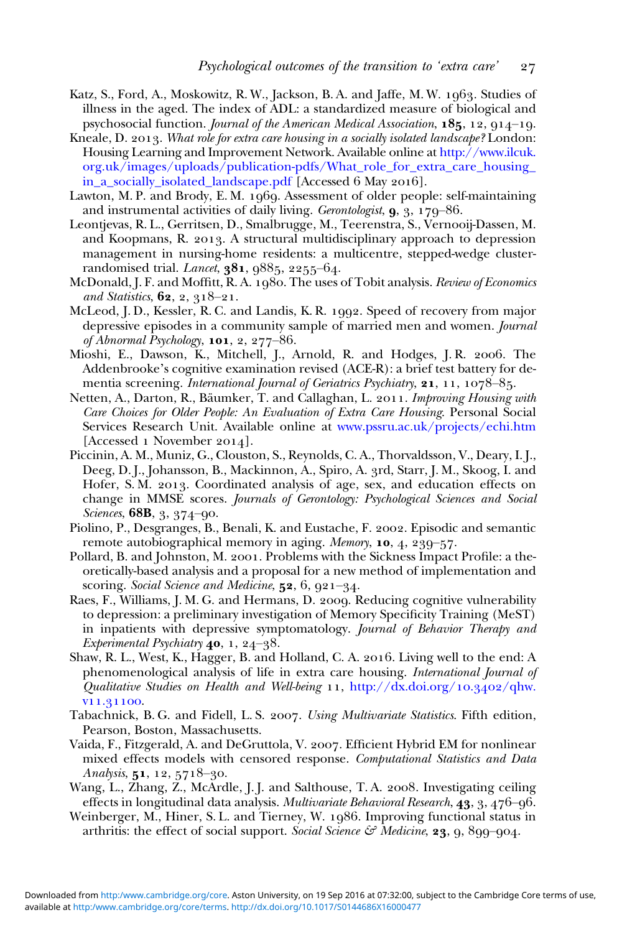- <span id="page-26-0"></span>Katz, S., Ford, A., Moskowitz, R. W., Jackson, B. A. and Jaffe, M. W. 1963. Studies of illness in the aged. The index of ADL: a standardized measure of biological and psychosocial function. Journal of the American Medical Association,  $185, 12, 914-19$ .
- Kneale, D. 2013. What role for extra care housing in a socially isolated landscape? London: Housing Learning and Improvement Network. Available online at [http://www.ilcuk.](http://www.ilcuk.org.uk/images/uploads/publication-pdfs/What_role_for_extra_care_housing_in_a_socially_isolated_landscape.pdf) [org.uk/images/uploads/publication-pdfs/What\\_role\\_for\\_extra\\_care\\_housing\\_](http://www.ilcuk.org.uk/images/uploads/publication-pdfs/What_role_for_extra_care_housing_in_a_socially_isolated_landscape.pdf) [in\\_a\\_socially\\_isolated\\_landscape.pdf](http://www.ilcuk.org.uk/images/uploads/publication-pdfs/What_role_for_extra_care_housing_in_a_socially_isolated_landscape.pdf) [Accessed 6 May 2016].
- Lawton, M. P. and Brody, E. M. 1969. Assessment of older people: self-maintaining and instrumental activities of daily living. Gerontologist,  $\alpha$ ,  $\alpha$ ,  $\alpha$ ,  $\alpha$ ,  $\beta$ ,  $\alpha$ –86.
- Leontjevas, R. L., Gerritsen, D., Smalbrugge, M., Teerenstra, S., Vernooij-Dassen, M. and Koopmans, R. 2013. A structural multidisciplinary approach to depression management in nursing-home residents: a multicentre, stepped-wedge clusterrandomised trial. Lancet, 381, 9885, 2255-64.
- McDonald, J. F. and Moffitt, R. A. 1980. The uses of Tobit analysis. Review of Economics and Statistics,  $62, 2, 318-21$ .
- McLeod, J. D., Kessler, R. C. and Landis, K. R. 1992. Speed of recovery from major depressive episodes in a community sample of married men and women. Journal of Abnormal Psychology,  $101, 2, 277-86$ .
- Mioshi, E., Dawson, K., Mitchell, J., Arnold, R. and Hodges, J.R. 2006. The Addenbrooke's cognitive examination revised (ACE-R): a brief test battery for dementia screening. International Journal of Geriatrics Psychiatry,  $21, 11, 1078-85$ .
- Netten, A., Darton, R., Bäumker, T. and Callaghan, L. 2011. Improving Housing with Care Choices for Older People: An Evaluation of Extra Care Housing. Personal Social Services Research Unit. Available online at [www.pssru.ac.uk/projects/echi.htm](http://www.pssru.ac.uk/projects/echi.htm) [Accessed 1 November 2014].
- Piccinin, A. M., Muniz, G., Clouston, S., Reynolds, C. A., Thorvaldsson, V., Deary, I. J., Deeg, D.J., Johansson, B., Mackinnon, A., Spiro, A. 3rd, Starr, J. M., Skoog, I. and Hofer, S.M. 2013. Coordinated analysis of age, sex, and education effects on change in MMSE scores. Journals of Gerontology: Psychological Sciences and Social Sciences, 68B, 3, 374-90.
- Piolino, P., Desgranges, B., Benali, K. and Eustache, F. 2002. Episodic and semantic remote autobiographical memory in aging. Memory, 10, 4, 239-57.
- Pollard, B. and Johnston, M. 2001. Problems with the Sickness Impact Profile: a theoretically-based analysis and a proposal for a new method of implementation and scoring. Social Science and Medicine,  $52, 6, 921-34$ .
- Raes, F., Williams, J. M. G. and Hermans, D. 2009. Reducing cognitive vulnerability to depression: a preliminary investigation of Memory Specificity Training (MeST) in inpatients with depressive symptomatology. Journal of Behavior Therapy and Experimental Psychiatry  $40, 1, 24-38$ .
- Shaw, R. L., West, K., Hagger, B. and Holland, C. A. 2016. Living well to the end: A phenomenological analysis of life in extra care housing. International Journal of Qualitative Studies on Health and Well-being  $11$ , [http://dx.doi.org/](http://dx.doi.org/10.3402/qhw.v11.31100) $10.3402$ /qhw. v11.31100.
- Tabachnick, B. G. and Fidell, L. S. 2007. Using Multivariate Statistics. Fifth edition, Pearson, Boston, Massachusetts.
- Vaida, F., Fitzgerald, A. and DeGruttola, V. 2007. Efficient Hybrid EM for nonlinear mixed effects models with censored response. Computational Statistics and Data Analysis, 51, 12, 5718-30.
- Wang, L., Zhang, Z., McArdle, J.J. and Salthouse, T.A. 2008. Investigating ceiling effects in longitudinal data analysis. *Multivariate Behavioral Research*,  $43, 3, 476 - 96$ .
- Weinberger, M., Hiner, S. L. and Tierney, W. 1986. Improving functional status in arthritis: the effect of social support. Social Science  $\mathcal{C}$  Medicine, **23**, 9, 899–904.